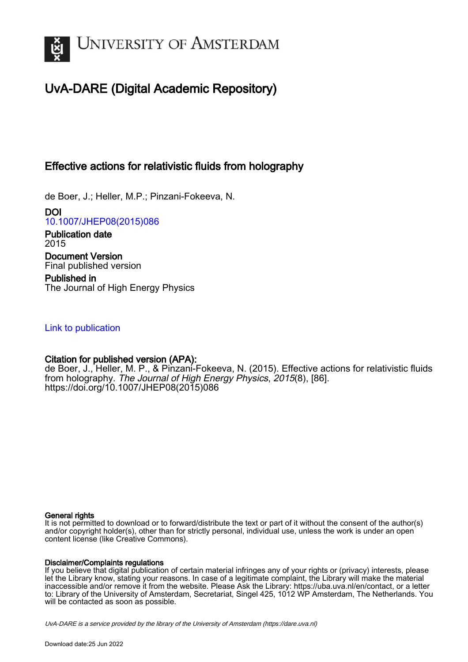

# UvA-DARE (Digital Academic Repository)

## Effective actions for relativistic fluids from holography

de Boer, J.; Heller, M.P.; Pinzani-Fokeeva, N.

DOI [10.1007/JHEP08\(2015\)086](https://doi.org/10.1007/JHEP08(2015)086)

Publication date 2015 Document Version Final published version

Published in The Journal of High Energy Physics

## [Link to publication](https://dare.uva.nl/personal/pure/en/publications/effective-actions-for-relativistic-fluids-from-holography(144fd817-66dd-4886-8e65-d0b54b32792e).html)

## Citation for published version (APA):

de Boer, J., Heller, M. P., & Pinzani-Fokeeva, N. (2015). Effective actions for relativistic fluids from holography. The Journal of High Energy Physics, 2015(8), [86]. [https://doi.org/10.1007/JHEP08\(2015\)086](https://doi.org/10.1007/JHEP08(2015)086)

#### General rights

It is not permitted to download or to forward/distribute the text or part of it without the consent of the author(s) and/or copyright holder(s), other than for strictly personal, individual use, unless the work is under an open content license (like Creative Commons).

#### Disclaimer/Complaints regulations

If you believe that digital publication of certain material infringes any of your rights or (privacy) interests, please let the Library know, stating your reasons. In case of a legitimate complaint, the Library will make the material inaccessible and/or remove it from the website. Please Ask the Library: https://uba.uva.nl/en/contact, or a letter to: Library of the University of Amsterdam, Secretariat, Singel 425, 1012 WP Amsterdam, The Netherlands. You will be contacted as soon as possible.

UvA-DARE is a service provided by the library of the University of Amsterdam (http*s*://dare.uva.nl)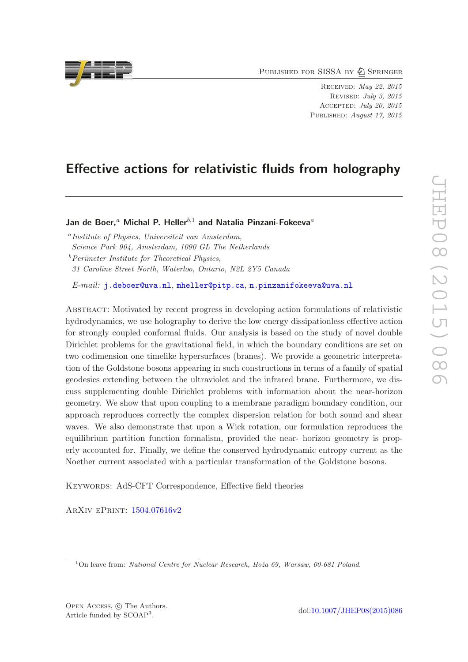PUBLISHED FOR SISSA BY 2 SPRINGER

Received: May 22, 2015 Revised: July 3, 2015 Accepted: July 20, 2015 PUBLISHED: August 17, 2015

## Effective actions for relativistic fluids from holography

Jan de Boer,<sup>a</sup> Michal P. Heller<sup>b,1</sup> and Natalia Pinzani-Fokeeva<sup>a</sup>

a Institute of Physics, Universiteit van Amsterdam,

Science Park 904, Amsterdam, 1090 GL The Netherlands

 $b$ Perimeter Institute for Theoretical Physics,

31 Caroline Street North, Waterloo, Ontario, N2L 2Y5 Canada

E-mail: [j.deboer@uva.nl](mailto:j.deboer@uva.nl), [mheller@pitp.ca](mailto:mheller@pitp.ca), [n.pinzanifokeeva@uva.nl](mailto:n.pinzanifokeeva@uva.nl)

Abstract: Motivated by recent progress in developing action formulations of relativistic hydrodynamics, we use holography to derive the low energy dissipationless effective action for strongly coupled conformal fluids. Our analysis is based on the study of novel double Dirichlet problems for the gravitational field, in which the boundary conditions are set on two codimension one timelike hypersurfaces (branes). We provide a geometric interpretation of the Goldstone bosons appearing in such constructions in terms of a family of spatial geodesics extending between the ultraviolet and the infrared brane. Furthermore, we discuss supplementing double Dirichlet problems with information about the near-horizon geometry. We show that upon coupling to a membrane paradigm boundary condition, our approach reproduces correctly the complex dispersion relation for both sound and shear waves. We also demonstrate that upon a Wick rotation, our formulation reproduces the equilibrium partition function formalism, provided the near- horizon geometry is properly accounted for. Finally, we define the conserved hydrodynamic entropy current as the Noether current associated with a particular transformation of the Goldstone bosons.

KEYWORDS: AdS-CFT Correspondence, Effective field theories

ArXiv ePrint: [1504.07616v2](http://arxiv.org/abs/1504.07616v2)





<sup>&</sup>lt;sup>1</sup>On leave from: National Centre for Nuclear Research, Hoża 69, Warsaw, 00-681 Poland.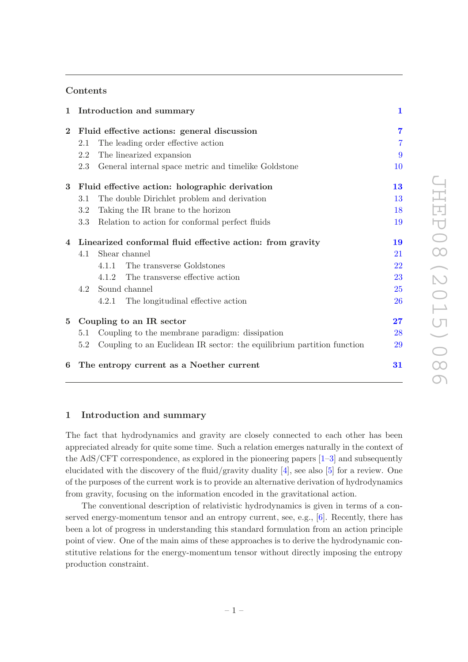## Contents

|                |                                                           | 1 Introduction and summary                                             | $\mathbf{1}$   |
|----------------|-----------------------------------------------------------|------------------------------------------------------------------------|----------------|
| $\bf{2}$       | Fluid effective actions: general discussion               |                                                                        | $\overline{7}$ |
|                | 2.1                                                       | The leading order effective action                                     | 7              |
|                | 2.2                                                       | The linearized expansion                                               | 9              |
|                | 2.3                                                       | General internal space metric and timelike Goldstone                   | 10             |
| $\bf{3}$       |                                                           | Fluid effective action: holographic derivation                         | 13             |
|                | 3.1                                                       | The double Dirichlet problem and derivation                            | 13             |
|                | 3.2                                                       | Taking the IR brane to the horizon                                     | 18             |
|                | 3.3                                                       | Relation to action for conformal perfect fluids                        | 19             |
| $\overline{4}$ | Linearized conformal fluid effective action: from gravity |                                                                        | 19             |
|                | 4.1                                                       | Shear channel                                                          | 21             |
|                |                                                           | The transverse Goldstones<br>4.1.1                                     | 22             |
|                |                                                           | 4.1.2<br>The transverse effective action                               | 23             |
|                | 4.2                                                       | Sound channel                                                          | 25             |
|                |                                                           | The longitudinal effective action<br>4.2.1                             | 26             |
| $\bf{5}$       | Coupling to an IR sector                                  |                                                                        | 27             |
|                | 5.1                                                       | Coupling to the membrane paradigm: dissipation                         | 28             |
|                | 5.2                                                       | Coupling to an Euclidean IR sector: the equilibrium partition function | 29             |
| 6              |                                                           | The entropy current as a Noether current                               | 31             |

## <span id="page-2-0"></span>1 Introduction and summary

The fact that hydrodynamics and gravity are closely connected to each other has been appreciated already for quite some time. Such a relation emerges naturally in the context of the AdS/CFT correspondence, as explored in the pioneering papers [\[1](#page-35-0)[–3](#page-35-1)] and subsequently elucidated with the discovery of the fluid/gravity duality [\[4](#page-35-2)], see also [\[5](#page-35-3)] for a review. One of the purposes of the current work is to provide an alternative derivation of hydrodynamics from gravity, focusing on the information encoded in the gravitational action.

The conventional description of relativistic hydrodynamics is given in terms of a conserved energy-momentum tensor and an entropy current, see, e.g., [\[6](#page-35-4)]. Recently, there has been a lot of progress in understanding this standard formulation from an action principle point of view. One of the main aims of these approaches is to derive the hydrodynamic constitutive relations for the energy-momentum tensor without directly imposing the entropy production constraint.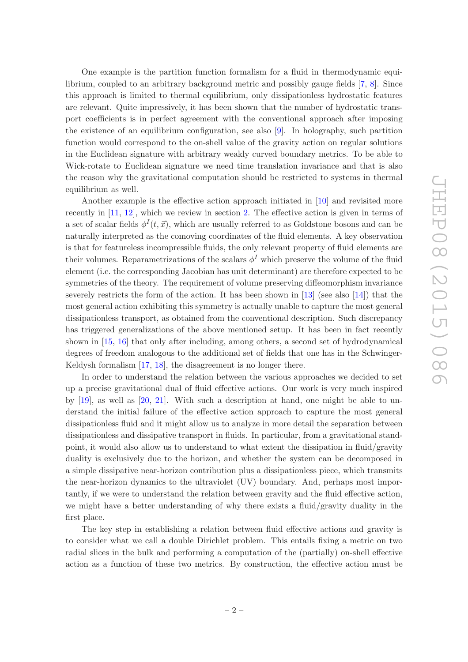One example is the partition function formalism for a fluid in thermodynamic equilibrium, coupled to an arbitrary background metric and possibly gauge fields [\[7,](#page-35-5) [8\]](#page-35-6). Since this approach is limited to thermal equilibrium, only dissipationless hydrostatic features are relevant. Quite impressively, it has been shown that the number of hydrostatic transport coefficients is in perfect agreement with the conventional approach after imposing the existence of an equilibrium configuration, see also [\[9\]](#page-35-7). In holography, such partition function would correspond to the on-shell value of the gravity action on regular solutions in the Euclidean signature with arbitrary weakly curved boundary metrics. To be able to Wick-rotate to Euclidean signature we need time translation invariance and that is also the reason why the gravitational computation should be restricted to systems in thermal equilibrium as well.

Another example is the effective action approach initiated in [\[10](#page-35-8)] and revisited more recently in [\[11](#page-35-9), [12\]](#page-35-10), which we review in section [2.](#page-8-0) The effective action is given in terms of a set of scalar fields  $\phi^I(t, \vec{x})$ , which are usually referred to as Goldstone bosons and can be naturally interpreted as the comoving coordinates of the fluid elements. A key observation is that for featureless incompressible fluids, the only relevant property of fluid elements are their volumes. Reparametrizations of the scalars  $\phi^I$  which preserve the volume of the fluid element (i.e. the corresponding Jacobian has unit determinant) are therefore expected to be symmetries of the theory. The requirement of volume preserving diffeomorphism invariance severely restricts the form of the action. It has been shown in  $[13]$  (see also  $[14]$ ) that the most general action exhibiting this symmetry is actually unable to capture the most general dissipationless transport, as obtained from the conventional description. Such discrepancy has triggered generalizations of the above mentioned setup. It has been in fact recently shown in [\[15](#page-36-2), [16\]](#page-36-3) that only after including, among others, a second set of hydrodynamical degrees of freedom analogous to the additional set of fields that one has in the Schwinger-Keldysh formalism [\[17](#page-36-4), [18\]](#page-36-5), the disagreement is no longer there.

In order to understand the relation between the various approaches we decided to set up a precise gravitational dual of fluid effective actions. Our work is very much inspired by [\[19](#page-36-6)], as well as [\[20,](#page-36-7) [21](#page-36-8)]. With such a description at hand, one might be able to understand the initial failure of the effective action approach to capture the most general dissipationless fluid and it might allow us to analyze in more detail the separation between dissipationless and dissipative transport in fluids. In particular, from a gravitational standpoint, it would also allow us to understand to what extent the dissipation in fluid/gravity duality is exclusively due to the horizon, and whether the system can be decomposed in a simple dissipative near-horizon contribution plus a dissipationless piece, which transmits the near-horizon dynamics to the ultraviolet (UV) boundary. And, perhaps most importantly, if we were to understand the relation between gravity and the fluid effective action, we might have a better understanding of why there exists a fluid/gravity duality in the first place.

The key step in establishing a relation between fluid effective actions and gravity is to consider what we call a double Dirichlet problem. This entails fixing a metric on two radial slices in the bulk and performing a computation of the (partially) on-shell effective action as a function of these two metrics. By construction, the effective action must be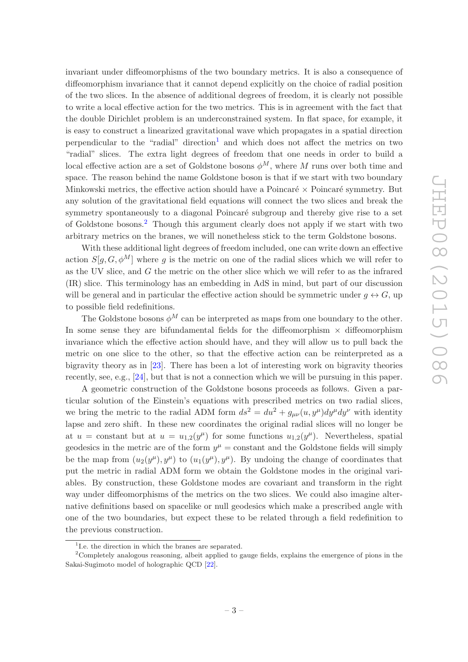invariant under diffeomorphisms of the two boundary metrics. It is also a consequence of diffeomorphism invariance that it cannot depend explicitly on the choice of radial position of the two slices. In the absence of additional degrees of freedom, it is clearly not possible to write a local effective action for the two metrics. This is in agreement with the fact that the double Dirichlet problem is an underconstrained system. In flat space, for example, it is easy to construct a linearized gravitational wave which propagates in a spatial direction perpendicular to the "radial" direction<sup>[1](#page-4-0)</sup> and which does not affect the metrics on two "radial" slices. The extra light degrees of freedom that one needs in order to build a local effective action are a set of Goldstone bosons  $\phi^M$ , where M runs over both time and space. The reason behind the name Goldstone boson is that if we start with two boundary Minkowski metrics, the effective action should have a Poincaré  $\times$  Poincaré symmetry. But any solution of the gravitational field equations will connect the two slices and break the symmetry spontaneously to a diagonal Poincaré subgroup and thereby give rise to a set of Goldstone bosons.[2](#page-4-1) Though this argument clearly does not apply if we start with two arbitrary metrics on the branes, we will nonetheless stick to the term Goldstone bosons.

With these additional light degrees of freedom included, one can write down an effective action  $S[q, G, \phi^M]$  where q is the metric on one of the radial slices which we will refer to as the UV slice, and G the metric on the other slice which we will refer to as the infrared (IR) slice. This terminology has an embedding in AdS in mind, but part of our discussion will be general and in particular the effective action should be symmetric under  $q \leftrightarrow G$ , up to possible field redefinitions.

The Goldstone bosons  $\phi^M$  can be interpreted as maps from one boundary to the other. In some sense they are bifundamental fields for the diffeomorphism  $\times$  diffeomorphism invariance which the effective action should have, and they will allow us to pull back the metric on one slice to the other, so that the effective action can be reinterpreted as a bigravity theory as in [\[23\]](#page-36-9). There has been a lot of interesting work on bigravity theories recently, see, e.g., [\[24\]](#page-36-10), but that is not a connection which we will be pursuing in this paper.

A geometric construction of the Goldstone bosons proceeds as follows. Given a particular solution of the Einstein's equations with prescribed metrics on two radial slices, we bring the metric to the radial ADM form  $ds^2 = du^2 + g_{\mu\nu}(u, y^{\mu})dy^{\mu}dy^{\nu}$  with identity lapse and zero shift. In these new coordinates the original radial slices will no longer be at  $u = constant$  but at  $u = u_{1,2}(y^{\mu})$  for some functions  $u_{1,2}(y^{\mu})$ . Nevertheless, spatial geodesics in the metric are of the form  $y^{\mu}$  = constant and the Goldstone fields will simply be the map from  $(u_2(y^{\mu}), y^{\mu})$  to  $(u_1(y^{\mu}), y^{\mu})$ . By undoing the change of coordinates that put the metric in radial ADM form we obtain the Goldstone modes in the original variables. By construction, these Goldstone modes are covariant and transform in the right way under diffeomorphisms of the metrics on the two slices. We could also imagine alternative definitions based on spacelike or null geodesics which make a prescribed angle with one of the two boundaries, but expect these to be related through a field redefinition to the previous construction.

<span id="page-4-0"></span><sup>&</sup>lt;sup>1</sup>Le. the direction in which the branes are separated.

<span id="page-4-1"></span><sup>2</sup>Completely analogous reasoning, albeit applied to gauge fields, explains the emergence of pions in the Sakai-Sugimoto model of holographic QCD [\[22\]](#page-36-11).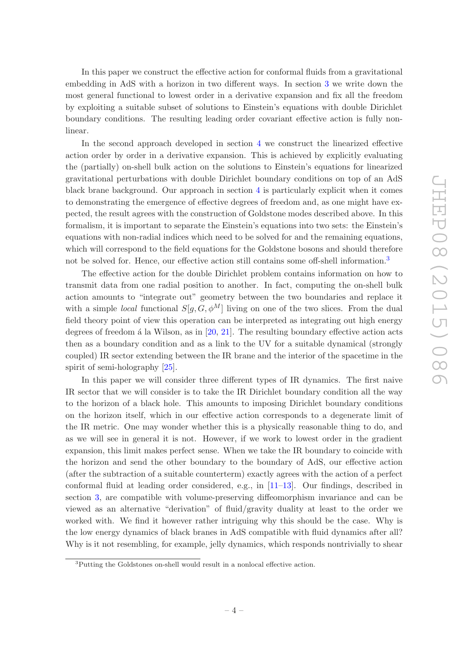In this paper we construct the effective action for conformal fluids from a gravitational embedding in AdS with a horizon in two different ways. In section [3](#page-14-0) we write down the most general functional to lowest order in a derivative expansion and fix all the freedom by exploiting a suitable subset of solutions to Einstein's equations with double Dirichlet boundary conditions. The resulting leading order covariant effective action is fully nonlinear.

In the second approach developed in section [4](#page-20-1) we construct the linearized effective action order by order in a derivative expansion. This is achieved by explicitly evaluating the (partially) on-shell bulk action on the solutions to Einstein's equations for linearized gravitational perturbations with double Dirichlet boundary conditions on top of an AdS black brane background. Our approach in section [4](#page-20-1) is particularly explicit when it comes to demonstrating the emergence of effective degrees of freedom and, as one might have expected, the result agrees with the construction of Goldstone modes described above. In this formalism, it is important to separate the Einstein's equations into two sets: the Einstein's equations with non-radial indices which need to be solved for and the remaining equations, which will correspond to the field equations for the Goldstone bosons and should therefore not be solved for. Hence, our effective action still contains some off-shell information.<sup>[3](#page-5-0)</sup>

The effective action for the double Dirichlet problem contains information on how to transmit data from one radial position to another. In fact, computing the on-shell bulk action amounts to "integrate out" geometry between the two boundaries and replace it with a simple *local* functional  $S[q, G, \phi^M]$  living on one of the two slices. From the dual field theory point of view this operation can be interpreted as integrating out high energy degrees of freedom  $\acute{a}$  la Wilson, as in [\[20,](#page-36-7) [21](#page-36-8)]. The resulting boundary effective action acts then as a boundary condition and as a link to the UV for a suitable dynamical (strongly coupled) IR sector extending between the IR brane and the interior of the spacetime in the spirit of semi-holography [\[25\]](#page-36-12).

In this paper we will consider three different types of IR dynamics. The first naive IR sector that we will consider is to take the IR Dirichlet boundary condition all the way to the horizon of a black hole. This amounts to imposing Dirichlet boundary conditions on the horizon itself, which in our effective action corresponds to a degenerate limit of the IR metric. One may wonder whether this is a physically reasonable thing to do, and as we will see in general it is not. However, if we work to lowest order in the gradient expansion, this limit makes perfect sense. When we take the IR boundary to coincide with the horizon and send the other boundary to the boundary of AdS, our effective action (after the subtraction of a suitable counterterm) exactly agrees with the action of a perfect conformal fluid at leading order considered, e.g., in [\[11](#page-35-9)[–13](#page-36-0)]. Our findings, described in section [3,](#page-14-0) are compatible with volume-preserving diffeomorphism invariance and can be viewed as an alternative "derivation" of fluid/gravity duality at least to the order we worked with. We find it however rather intriguing why this should be the case. Why is the low energy dynamics of black branes in AdS compatible with fluid dynamics after all? Why is it not resembling, for example, jelly dynamics, which responds nontrivially to shear

<span id="page-5-0"></span><sup>&</sup>lt;sup>3</sup>Putting the Goldstones on-shell would result in a nonlocal effective action.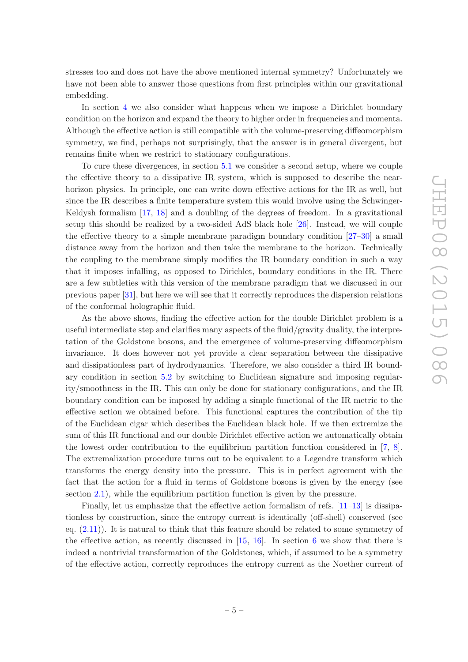stresses too and does not have the above mentioned internal symmetry? Unfortunately we have not been able to answer those questions from first principles within our gravitational embedding.

In section [4](#page-20-1) we also consider what happens when we impose a Dirichlet boundary condition on the horizon and expand the theory to higher order in frequencies and momenta. Although the effective action is still compatible with the volume-preserving diffeomorphism symmetry, we find, perhaps not surprisingly, that the answer is in general divergent, but remains finite when we restrict to stationary configurations.

To cure these divergences, in section [5.1](#page-29-0) we consider a second setup, where we couple the effective theory to a dissipative IR system, which is supposed to describe the nearhorizon physics. In principle, one can write down effective actions for the IR as well, but since the IR describes a finite temperature system this would involve using the Schwinger-Keldysh formalism [\[17,](#page-36-4) [18\]](#page-36-5) and a doubling of the degrees of freedom. In a gravitational setup this should be realized by a two-sided AdS black hole [\[26\]](#page-36-13). Instead, we will couple the effective theory to a simple membrane paradigm boundary condition [\[27](#page-36-14)[–30](#page-36-15)] a small distance away from the horizon and then take the membrane to the horizon. Technically the coupling to the membrane simply modifies the IR boundary condition in such a way that it imposes infalling, as opposed to Dirichlet, boundary conditions in the IR. There are a few subtleties with this version of the membrane paradigm that we discussed in our previous paper [\[31\]](#page-36-16), but here we will see that it correctly reproduces the dispersion relations of the conformal holographic fluid.

As the above shows, finding the effective action for the double Dirichlet problem is a useful intermediate step and clarifies many aspects of the fluid/gravity duality, the interpretation of the Goldstone bosons, and the emergence of volume-preserving diffeomorphism invariance. It does however not yet provide a clear separation between the dissipative and dissipationless part of hydrodynamics. Therefore, we also consider a third IR boundary condition in section [5.2](#page-30-0) by switching to Euclidean signature and imposing regularity/smoothness in the IR. This can only be done for stationary configurations, and the IR boundary condition can be imposed by adding a simple functional of the IR metric to the effective action we obtained before. This functional captures the contribution of the tip of the Euclidean cigar which describes the Euclidean black hole. If we then extremize the sum of this IR functional and our double Dirichlet effective action we automatically obtain the lowest order contribution to the equilibrium partition function considered in [\[7](#page-35-5), [8\]](#page-35-6). The extremalization procedure turns out to be equivalent to a Legendre transform which transforms the energy density into the pressure. This is in perfect agreement with the fact that the action for a fluid in terms of Goldstone bosons is given by the energy (see section [2.1\)](#page-8-1), while the equilibrium partition function is given by the pressure.

Finally, let us emphasize that the effective action formalism of refs. [\[11](#page-35-9)[–13\]](#page-36-0) is dissipationless by construction, since the entropy current is identically (off-shell) conserved (see eq.  $(2.11)$ ). It is natural to think that this feature should be related to some symmetry of the effective action, as recently discussed in [\[15](#page-36-2), [16](#page-36-3)]. In section [6](#page-32-0) we show that there is indeed a nontrivial transformation of the Goldstones, which, if assumed to be a symmetry of the effective action, correctly reproduces the entropy current as the Noether current of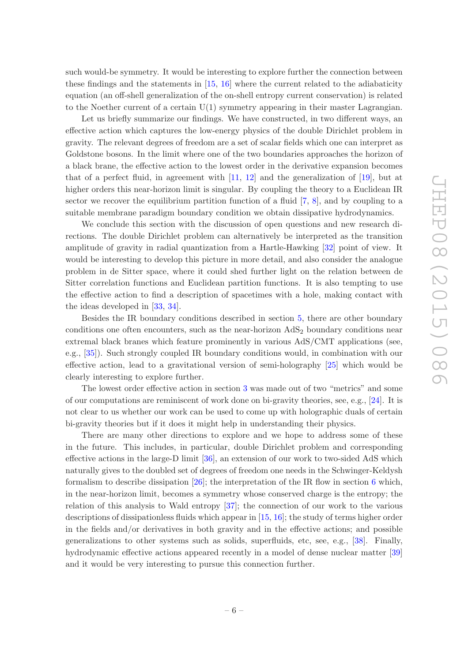such would-be symmetry. It would be interesting to explore further the connection between these findings and the statements in [\[15,](#page-36-2) [16\]](#page-36-3) where the current related to the adiabaticity equation (an off-shell generalization of the on-shell entropy current conservation) is related to the Noether current of a certain  $U(1)$  symmetry appearing in their master Lagrangian.

Let us briefly summarize our findings. We have constructed, in two different ways, an effective action which captures the low-energy physics of the double Dirichlet problem in gravity. The relevant degrees of freedom are a set of scalar fields which one can interpret as Goldstone bosons. In the limit where one of the two boundaries approaches the horizon of a black brane, the effective action to the lowest order in the derivative expansion becomes that of a perfect fluid, in agreement with [\[11](#page-35-9), [12\]](#page-35-10) and the generalization of [\[19](#page-36-6)], but at higher orders this near-horizon limit is singular. By coupling the theory to a Euclidean IR sector we recover the equilibrium partition function of a fluid  $[7, 8]$  $[7, 8]$  $[7, 8]$ , and by coupling to a suitable membrane paradigm boundary condition we obtain dissipative hydrodynamics.

We conclude this section with the discussion of open questions and new research directions. The double Dirichlet problem can alternatively be interpreted as the transition amplitude of gravity in radial quantization from a Hartle-Hawking [\[32\]](#page-36-17) point of view. It would be interesting to develop this picture in more detail, and also consider the analogue problem in de Sitter space, where it could shed further light on the relation between de Sitter correlation functions and Euclidean partition functions. It is also tempting to use the effective action to find a description of spacetimes with a hole, making contact with the ideas developed in [\[33,](#page-36-18) [34](#page-37-0)].

Besides the IR boundary conditions described in section [5,](#page-28-0) there are other boundary conditions one often encounters, such as the near-horizon  $AdS<sub>2</sub>$  boundary conditions near extremal black branes which feature prominently in various AdS/CMT applications (see, e.g., [\[35](#page-37-1)]). Such strongly coupled IR boundary conditions would, in combination with our effective action, lead to a gravitational version of semi-holography [\[25](#page-36-12)] which would be clearly interesting to explore further.

The lowest order effective action in section [3](#page-14-0) was made out of two "metrics" and some of our computations are reminiscent of work done on bi-gravity theories, see, e.g.,  $[24]$ . It is not clear to us whether our work can be used to come up with holographic duals of certain bi-gravity theories but if it does it might help in understanding their physics.

There are many other directions to explore and we hope to address some of these in the future. This includes, in particular, double Dirichlet problem and corresponding effective actions in the large-D limit [\[36](#page-37-2)], an extension of our work to two-sided AdS which naturally gives to the doubled set of degrees of freedom one needs in the Schwinger-Keldysh formalism to describe dissipation  $[26]$  $[26]$  $[26]$ ; the interpretation of the IR flow in section 6 which, in the near-horizon limit, becomes a symmetry whose conserved charge is the entropy; the relation of this analysis to Wald entropy [\[37\]](#page-37-3); the connection of our work to the various descriptions of dissipationless fluids which appear in [\[15](#page-36-2), [16\]](#page-36-3); the study of terms higher order in the fields and/or derivatives in both gravity and in the effective actions; and possible generalizations to other systems such as solids, superfluids, etc, see, e.g., [\[38\]](#page-37-4). Finally, hydrodynamic effective actions appeared recently in a model of dense nuclear matter [\[39\]](#page-37-5) and it would be very interesting to pursue this connection further.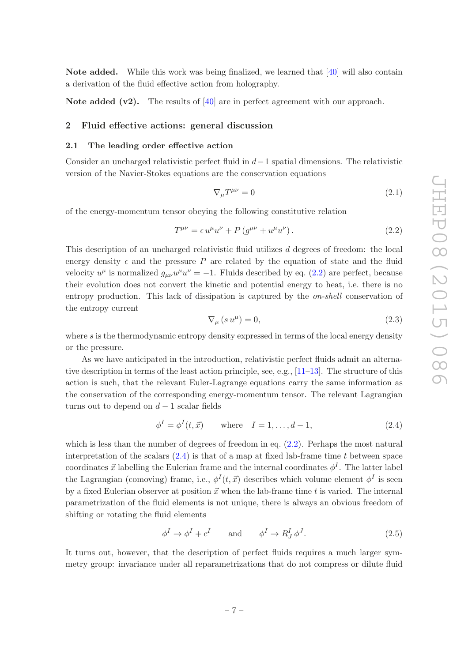Note added. While this work was being finalized, we learned that [\[40](#page-37-6)] will also contain a derivation of the fluid effective action from holography.

<span id="page-8-0"></span>Note added (v2). The results of [\[40\]](#page-37-6) are in perfect agreement with our approach.

## <span id="page-8-1"></span>2 Fluid effective actions: general discussion

#### 2.1 The leading order effective action

Consider an uncharged relativistic perfect fluid in  $d-1$  spatial dimensions. The relativistic version of the Navier-Stokes equations are the conservation equations

$$
\nabla_{\mu}T^{\mu\nu} = 0\tag{2.1}
$$

of the energy-momentum tensor obeying the following constitutive relation

<span id="page-8-2"></span>
$$
T^{\mu\nu} = \epsilon u^{\mu}u^{\nu} + P(g^{\mu\nu} + u^{\mu}u^{\nu}). \qquad (2.2)
$$

This description of an uncharged relativistic fluid utilizes d degrees of freedom: the local energy density  $\epsilon$  and the pressure P are related by the equation of state and the fluid velocity  $u^{\mu}$  is normalized  $g_{\mu\nu}u^{\mu}u^{\nu} = -1$ . Fluids described by eq. [\(2.2\)](#page-8-2) are perfect, because their evolution does not convert the kinetic and potential energy to heat, i.e. there is no entropy production. This lack of dissipation is captured by the on-shell conservation of the entropy current

<span id="page-8-5"></span>
$$
\nabla_{\mu}\left(s\,u^{\mu}\right) = 0,\tag{2.3}
$$

where  $s$  is the thermodynamic entropy density expressed in terms of the local energy density or the pressure.

As we have anticipated in the introduction, relativistic perfect fluids admit an alternative description in terms of the least action principle, see, e.g.,  $[11-13]$ . The structure of this action is such, that the relevant Euler-Lagrange equations carry the same information as the conservation of the corresponding energy-momentum tensor. The relevant Lagrangian turns out to depend on  $d-1$  scalar fields

<span id="page-8-3"></span>
$$
\phi^I = \phi^I(t, \vec{x})
$$
 where  $I = 1, ..., d - 1,$  (2.4)

which is less than the number of degrees of freedom in eq.  $(2.2)$ . Perhaps the most natural interpretation of the scalars  $(2.4)$  is that of a map at fixed lab-frame time t between space coordinates  $\vec{x}$  labelling the Eulerian frame and the internal coordinates  $\phi^I$ . The latter label the Lagrangian (comoving) frame, i.e.,  $\phi^I(t, \vec{x})$  describes which volume element  $\phi^I$  is seen by a fixed Eulerian observer at position  $\vec{x}$  when the lab-frame time t is varied. The internal parametrization of the fluid elements is not unique, there is always an obvious freedom of shifting or rotating the fluid elements

<span id="page-8-4"></span>
$$
\phi^I \to \phi^I + c^I \qquad \text{and} \qquad \phi^I \to R^I_J \phi^J. \tag{2.5}
$$

It turns out, however, that the description of perfect fluids requires a much larger symmetry group: invariance under all reparametrizations that do not compress or dilute fluid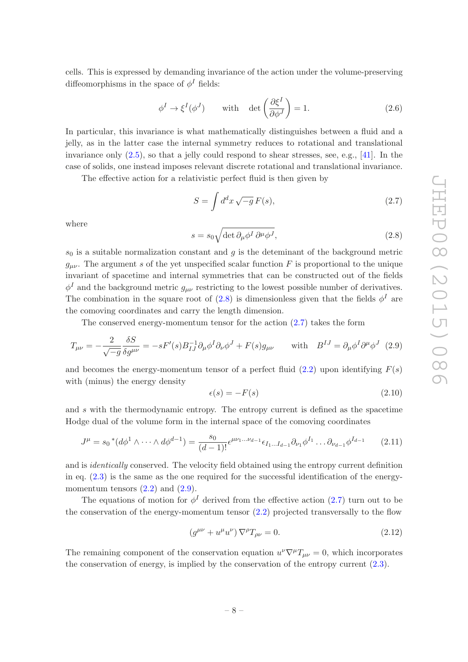cells. This is expressed by demanding invariance of the action under the volume-preserving diffeomorphisms in the space of  $\phi^I$  fields:

<span id="page-9-4"></span>
$$
\phi^I \to \xi^I(\phi^J) \qquad \text{with} \quad \det\left(\frac{\partial \xi^I}{\partial \phi^J}\right) = 1. \tag{2.6}
$$

In particular, this invariance is what mathematically distinguishes between a fluid and a jelly, as in the latter case the internal symmetry reduces to rotational and translational invariance only  $(2.5)$ , so that a jelly could respond to shear stresses, see, e.g., [\[41\]](#page-37-7). In the case of solids, one instead imposes relevant discrete rotational and translational invariance.

The effective action for a relativistic perfect fluid is then given by

<span id="page-9-2"></span>
$$
S = \int d^d x \sqrt{-g} F(s), \qquad (2.7)
$$

where

<span id="page-9-1"></span>
$$
s = s_0 \sqrt{\det \partial_\mu \phi^I \, \partial^\mu \phi^J},\tag{2.8}
$$

 $s_0$  is a suitable normalization constant and g is the deteminant of the background metric  $q_{\mu\nu}$ . The argument s of the yet unspecified scalar function F is proportional to the unique invariant of spacetime and internal symmetries that can be constructed out of the fields  $\phi^I$  and the background metric  $g_{\mu\nu}$  restricting to the lowest possible number of derivatives. The combination in the square root of  $(2.8)$  is dimensionless given that the fields  $\phi^I$  are the comoving coordinates and carry the length dimension.

The conserved energy-momentum tensor for the action  $(2.7)$  takes the form

<span id="page-9-3"></span>
$$
T_{\mu\nu} = -\frac{2}{\sqrt{-g}} \frac{\delta S}{\delta g^{\mu\nu}} = -sF'(s)B_{IJ}^{-1}\partial_{\mu}\phi^I\partial_{\nu}\phi^J + F(s)g_{\mu\nu} \quad \text{with} \quad B^{IJ} = \partial_{\mu}\phi^I\partial^{\mu}\phi^J \tag{2.9}
$$

and becomes the energy-momentum tensor of a perfect fluid  $(2.2)$  upon identifying  $F(s)$ with (minus) the energy density

$$
\epsilon(s) = -F(s) \tag{2.10}
$$

and s with the thermodynamic entropy. The entropy current is defined as the spacetime Hodge dual of the volume form in the internal space of the comoving coordinates

<span id="page-9-0"></span>
$$
J^{\mu} = s_0 \, {}^*(d\phi^1 \wedge \cdots \wedge d\phi^{d-1}) = \frac{s_0}{(d-1)!} \epsilon^{\mu \nu_1 \dots \nu_{d-1}} \epsilon_{I_1 \dots I_{d-1}} \partial_{\nu_1} \phi^{I_1} \dots \partial_{\nu_{d-1}} \phi^{I_{d-1}} \qquad (2.11)
$$

and is *identically* conserved. The velocity field obtained using the entropy current definition in eq. [\(2.3\)](#page-8-5) is the same as the one required for the successful identification of the energymomentum tensors  $(2.2)$  and  $(2.9)$ .

The equations of motion for  $\phi^I$  derived from the effective action [\(2.7\)](#page-9-2) turn out to be the conservation of the energy-momentum tensor  $(2.2)$  projected transversally to the flow

<span id="page-9-5"></span>
$$
\left(g^{\mu\nu} + u^{\mu}u^{\nu}\right)\nabla^{\rho}T_{\rho\nu} = 0. \tag{2.12}
$$

The remaining component of the conservation equation  $u^{\nu} \nabla^{\mu} T_{\mu\nu} = 0$ , which incorporates the conservation of energy, is implied by the conservation of the entropy current  $(2.3)$ .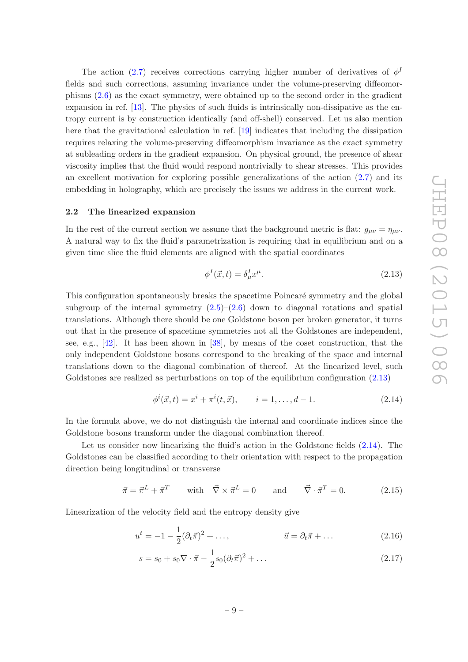The action [\(2.7\)](#page-9-2) receives corrections carrying higher number of derivatives of  $\phi^I$ fields and such corrections, assuming invariance under the volume-preserving diffeomorphisms [\(2.6\)](#page-9-4) as the exact symmetry, were obtained up to the second order in the gradient expansion in ref. [\[13](#page-36-0)]. The physics of such fluids is intrinsically non-dissipative as the entropy current is by construction identically (and off-shell) conserved. Let us also mention here that the gravitational calculation in ref. [\[19](#page-36-6)] indicates that including the dissipation requires relaxing the volume-preserving diffeomorphism invariance as the exact symmetry at subleading orders in the gradient expansion. On physical ground, the presence of shear viscosity implies that the fluid would respond nontrivially to shear stresses. This provides an excellent motivation for exploring possible generalizations of the action [\(2.7\)](#page-9-2) and its embedding in holography, which are precisely the issues we address in the current work.

## <span id="page-10-0"></span>2.2 The linearized expansion

In the rest of the current section we assume that the background metric is flat:  $g_{\mu\nu} = \eta_{\mu\nu}$ . A natural way to fix the fluid's parametrization is requiring that in equilibrium and on a given time slice the fluid elements are aligned with the spatial coordinates

<span id="page-10-1"></span>
$$
\phi^I(\vec{x},t) = \delta^I_\mu x^\mu. \tag{2.13}
$$

This configuration spontaneously breaks the spacetime Poincaré symmetry and the global subgroup of the internal symmetry  $(2.5)$ – $(2.6)$  down to diagonal rotations and spatial translations. Although there should be one Goldstone boson per broken generator, it turns out that in the presence of spacetime symmetries not all the Goldstones are independent, see, e.g., [\[42\]](#page-37-8). It has been shown in [\[38\]](#page-37-4), by means of the coset construction, that the only independent Goldstone bosons correspond to the breaking of the space and internal translations down to the diagonal combination of thereof. At the linearized level, such Goldstones are realized as perturbations on top of the equilibrium configuration  $(2.13)$ 

<span id="page-10-2"></span>
$$
\phi^{i}(\vec{x},t) = x^{i} + \pi^{i}(t,\vec{x}), \qquad i = 1,\ldots,d-1.
$$
 (2.14)

In the formula above, we do not distinguish the internal and coordinate indices since the Goldstone bosons transform under the diagonal combination thereof.

Let us consider now linearizing the fluid's action in the Goldstone fields  $(2.14)$ . The Goldstones can be classified according to their orientation with respect to the propagation direction being longitudinal or transverse

$$
\vec{\pi} = \vec{\pi}^L + \vec{\pi}^T \qquad \text{with} \quad \vec{\nabla} \times \vec{\pi}^L = 0 \qquad \text{and} \qquad \vec{\nabla} \cdot \vec{\pi}^T = 0. \tag{2.15}
$$

Linearization of the velocity field and the entropy density give

$$
u^{t} = -1 - \frac{1}{2}(\partial_{t}\vec{\pi})^{2} + ..., \qquad \qquad \vec{u} = \partial_{t}\vec{\pi} + ... \qquad (2.16)
$$

$$
s = s_0 + s_0 \nabla \cdot \vec{\pi} - \frac{1}{2} s_0 (\partial_t \vec{\pi})^2 + \dots
$$
 (2.17)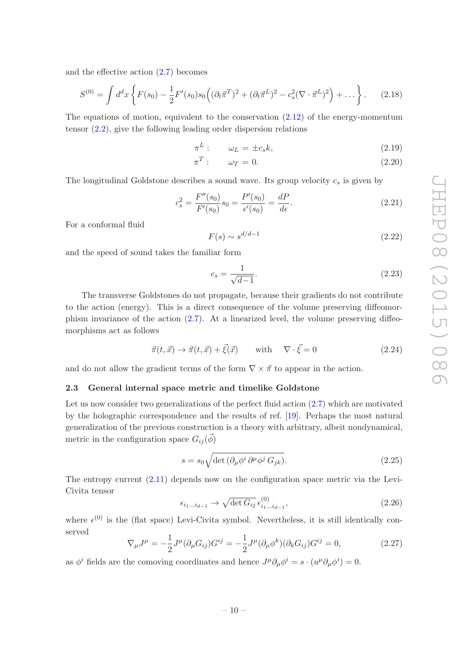and the effective action [\(2.7\)](#page-9-2) becomes

$$
S^{(0)} = \int d^d x \left\{ F(s_0) - \frac{1}{2} F'(s_0) s_0 \left( (\partial_t \vec{\pi}^T)^2 + (\partial_t \vec{\pi}^L)^2 - c_s^2 (\nabla \cdot \vec{\pi}^L)^2 \right) + \dots \right\}.
$$
 (2.18)

The equations of motion, equivalent to the conservation  $(2.12)$  of the energy-momentum tensor [\(2.2\)](#page-8-2), give the following leading order dispersion relations

<span id="page-11-1"></span>
$$
\pi^L: \qquad \omega_L = \pm c_s k,\tag{2.19}
$$

$$
\pi^T: \qquad \omega_T = 0. \tag{2.20}
$$

The longitudinal Goldstone describes a sound wave. Its group velocity  $c_s$  is given by

$$
c_s^2 = \frac{F''(s_0)}{F'(s_0)} s_0 = \frac{P'(s_0)}{\epsilon'(s_0)} = \frac{dP}{d\epsilon}.
$$
\n(2.21)

For a conformal fluid

$$
F(s) \sim s^{d/d - 1} \tag{2.22}
$$

and the speed of sound takes the familiar form

<span id="page-11-2"></span>
$$
c_s = \frac{1}{\sqrt{d-1}}.\tag{2.23}
$$

The transverse Goldstones do not propagate, because their gradients do not contribute to the action (energy). This is a direct consequence of the volume preserving diffeomorphism invariance of the action  $(2.7)$ . At a linearized level, the volume preserving diffeomorphisms act as follows

$$
\vec{\pi}(t,\vec{x}) \to \vec{\pi}(t,\vec{x}) + \vec{\xi}(\vec{x}) \qquad \text{with} \qquad \nabla \cdot \vec{\xi} = 0 \tag{2.24}
$$

<span id="page-11-0"></span>and do not allow the gradient terms of the form  $\nabla \times \vec{\pi}$  to appear in the action.

#### 2.3 General internal space metric and timelike Goldstone

Let us now consider two generalizations of the perfect fluid action  $(2.7)$  which are motivated by the holographic correspondence and the results of ref. [\[19](#page-36-6)]. Perhaps the most natural generalization of the previous construction is a theory with arbitrary, albeit nondynamical, metric in the configuration space  $G_{ij}(\phi)$ 

$$
s = s_0 \sqrt{\det \left( \partial_{\mu} \phi^i \, \partial^{\mu} \phi^j \, G_{jk} \right)}.
$$
\n(2.25)

The entropy current [\(2.11\)](#page-9-0) depends now on the configuration space metric via the Levi-Civita tensor

$$
\epsilon_{i_1\ldots i_{d-1}} \to \sqrt{\det G_{ij}} \,\epsilon_{i_1\ldots i_{d-1}}^{(0)},\tag{2.26}
$$

where  $\epsilon^{(0)}$  is the (flat space) Levi-Civita symbol. Nevertheless, it is still identically conserved

$$
\nabla_{\mu}J^{\mu} = -\frac{1}{2}J^{\mu}(\partial_{\mu}G_{ij})G^{ij} = -\frac{1}{2}J^{\mu}(\partial_{\mu}\phi^{k})(\partial_{k}G_{ij})G^{ij} = 0,
$$
\n(2.27)

as  $\phi^i$  fields are the comoving coordinates and hence  $J^{\mu}\partial_{\mu}\phi^i = s \cdot (u^{\mu}\partial_{\mu}\phi^i) = 0$ .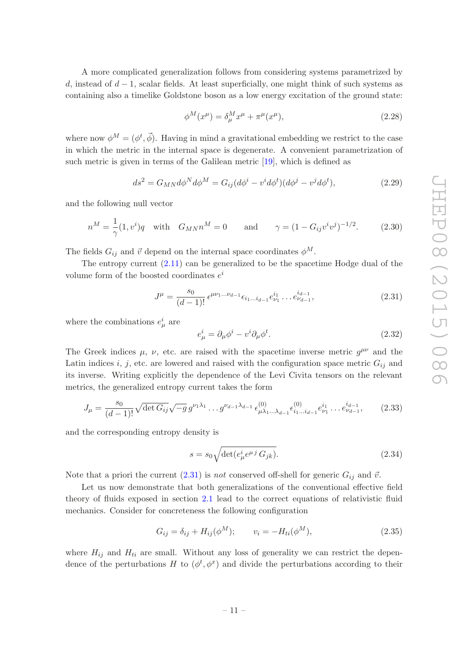A more complicated generalization follows from considering systems parametrized by d, instead of  $d-1$ , scalar fields. At least superficially, one might think of such systems as containing also a timelike Goldstone boson as a low energy excitation of the ground state:

<span id="page-12-2"></span>
$$
\phi^M(x^{\mu}) = \delta^M_{\mu} x^{\mu} + \pi^{\mu}(x^{\mu}), \qquad (2.28)
$$

where now  $\phi^M = (\phi^t, \vec{\phi})$ . Having in mind a gravitational embedding we restrict to the case in which the metric in the internal space is degenerate. A convenient parametrization of such metric is given in terms of the Galilean metric [\[19\]](#page-36-6), which is defined as

<span id="page-12-4"></span>
$$
ds^2 = G_{MN}d\phi^N d\phi^M = G_{ij}(d\phi^i - v^i d\phi^t)(d\phi^j - v^j d\phi^t),
$$
\n(2.29)

and the following null vector

$$
n^{M} = \frac{1}{\gamma}(1, v^{i})q \quad \text{with} \quad G_{M N} n^{M} = 0 \quad \text{and} \quad \gamma = (1 - G_{ij} v^{i} v^{j})^{-1/2}.
$$
 (2.30)

The fields  $G_{ij}$  and  $\vec{v}$  depend on the internal space coordinates  $\phi^M$ .

The entropy current [\(2.11\)](#page-9-0) can be generalized to be the spacetime Hodge dual of the volume form of the boosted coordinates  $e^i$ 

<span id="page-12-0"></span>
$$
J^{\mu} = \frac{s_0}{(d-1)!} \epsilon^{\mu\nu_1...\nu_{d-1}} \epsilon_{i_1...i_{d-1}} \epsilon_{i_1}^{i_1} \dots \epsilon_{i_{d-1}}^{i_{d-1}}, \tag{2.31}
$$

where the combinations  $e^i_\mu$  are

$$
e^i_\mu = \partial_\mu \phi^i - v^i \partial_\mu \phi^t. \tag{2.32}
$$

The Greek indices  $\mu$ ,  $\nu$ , etc. are raised with the spacetime inverse metric  $g^{\mu\nu}$  and the Latin indices i, j, etc. are lowered and raised with the configuration space metric  $G_{ij}$  and its inverse. Writing explicitly the dependence of the Levi Civita tensors on the relevant metrics, the generalized entropy current takes the form

<span id="page-12-3"></span>
$$
J_{\mu} = \frac{s_0}{(d-1)!} \sqrt{\det G_{ij}} \sqrt{-g} \, g^{\nu_1 \lambda_1} \dots g^{\nu_{d-1} \lambda_{d-1}} \, \epsilon^{(0)}_{\mu \lambda_1 \dots \lambda_{d-1}} \epsilon^{(0)}_{i_1 \dots i_{d-1}} e^{i_1}_{\nu_1} \dots e^{i_{d-1}}_{\nu_{d-1}}, \tag{2.33}
$$

and the corresponding entropy density is

<span id="page-12-1"></span>
$$
s = s_0 \sqrt{\det(e^i_\mu e^{\mu j} G_{jk})}.
$$
\n(2.34)

Note that a priori the current [\(2.31\)](#page-12-0) is not conserved off-shell for generic  $G_{ij}$  and  $\vec{v}$ .

Let us now demonstrate that both generalizations of the conventional effective field theory of fluids exposed in section [2.1](#page-8-1) lead to the correct equations of relativistic fluid mechanics. Consider for concreteness the following configuration

$$
G_{ij} = \delta_{ij} + H_{ij}(\phi^M); \qquad v_i = -H_{ti}(\phi^M), \tag{2.35}
$$

where  $H_{ij}$  and  $H_{ti}$  are small. Without any loss of generality we can restrict the dependence of the perturbations H to  $(\phi^t, \phi^x)$  and divide the perturbations according to their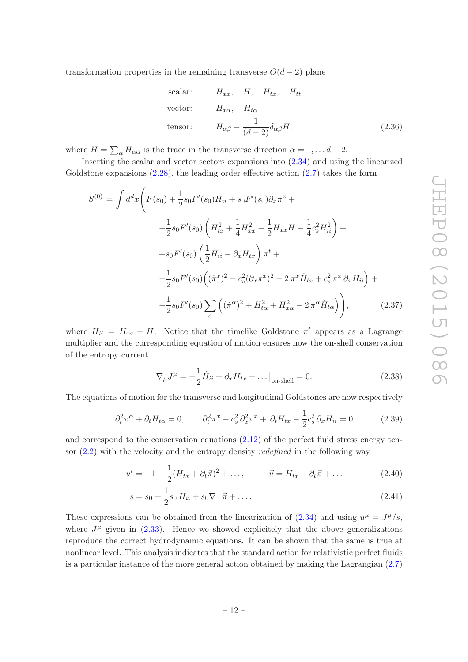transformation properties in the remaining transverse  $O(d-2)$  plane

scalar: 
$$
H_{xx}
$$
,  $H$ ,  $H_{tx}$ ,  $H_{tt}$   
vector:  $H_{x\alpha}$ ,  $H_{t\alpha}$   
tensor:  $H_{\alpha\beta} - \frac{1}{(d-2)} \delta_{\alpha\beta} H$ , (2.36)

where  $H = \sum_{\alpha} H_{\alpha\alpha}$  is the trace in the transverse direction  $\alpha = 1, \dots d - 2$ .

Inserting the scalar and vector sectors expansions into [\(2.34\)](#page-12-1) and using the linearized Goldstone expansions  $(2.28)$ , the leading order effective action  $(2.7)$  takes the form

<span id="page-13-0"></span>
$$
S^{(0)} = \int d^d x \left( F(s_0) + \frac{1}{2} s_0 F'(s_0) H_{ii} + s_0 F'(s_0) \partial_x \pi^x + -\frac{1}{2} s_0 F'(s_0) \left( H_{tx}^2 + \frac{1}{4} H_{xx}^2 - \frac{1}{2} H_{xx} H - \frac{1}{4} c_s^2 H_{ii}^2 \right) +
$$
  
+ 
$$
s_0 F'(s_0) \left( \frac{1}{2} H_{ii} - \partial_x H_{tx} \right) \pi^t + -\frac{1}{2} s_0 F'(s_0) \left( (\dot{\pi}^x)^2 - c_s^2 (\partial_x \pi^x)^2 - 2 \pi^x \dot{H}_{tx} + c_s^2 \pi^x \partial_x H_{ii} \right) +
$$
  
- 
$$
\frac{1}{2} s_0 F'(s_0) \sum_{\alpha} \left( (\dot{\pi}^{\alpha})^2 + H_{t\alpha}^2 + H_{x\alpha}^2 - 2 \pi^{\alpha} \dot{H}_{t\alpha} \right) \right), \tag{2.37}
$$

where  $H_{ii} = H_{xx} + H$ . Notice that the timelike Goldstone  $\pi^t$  appears as a Lagrange multiplier and the corresponding equation of motion ensures now the on-shell conservation of the entropy current

$$
\nabla_{\mu} J^{\mu} = -\frac{1}{2} \dot{H}_{ii} + \partial_{x} H_{tx} + \dots \big|_{\text{on-shell}} = 0.
$$
 (2.38)

The equations of motion for the transverse and longitudinal Goldstones are now respectively

$$
\partial_t^2 \pi^\alpha + \partial_t H_{t\alpha} = 0, \qquad \partial_t^2 \pi^x - c_s^2 \partial_x^2 \pi^x + \partial_t H_{tx} - \frac{1}{2} c_s^2 \partial_x H_{ii} = 0 \tag{2.39}
$$

and correspond to the conservation equations [\(2.12\)](#page-9-5) of the perfect fluid stress energy tensor [\(2.2\)](#page-8-2) with the velocity and the entropy density redefined in the following way

$$
u^{t} = -1 - \frac{1}{2}(H_{t\vec{x}} + \partial_{t}\vec{\pi})^{2} + \dots, \qquad \vec{u} = H_{t\vec{x}} + \partial_{t}\vec{\pi} + \dots
$$
 (2.40)

$$
s = s_0 + \frac{1}{2}s_0 H_{ii} + s_0 \nabla \cdot \vec{\pi} + \dots
$$
 (2.41)

These expressions can be obtained from the linearization of  $(2.34)$  and using  $u^{\mu} = J^{\mu}/s$ , where  $J^{\mu}$  given in [\(2.33\)](#page-12-3). Hence we showed explicitely that the above generalizations reproduce the correct hydrodynamic equations. It can be shown that the same is true at nonlinear level. This analysis indicates that the standard action for relativistic perfect fluids is a particular instance of the more general action obtained by making the Lagrangian [\(2.7\)](#page-9-2)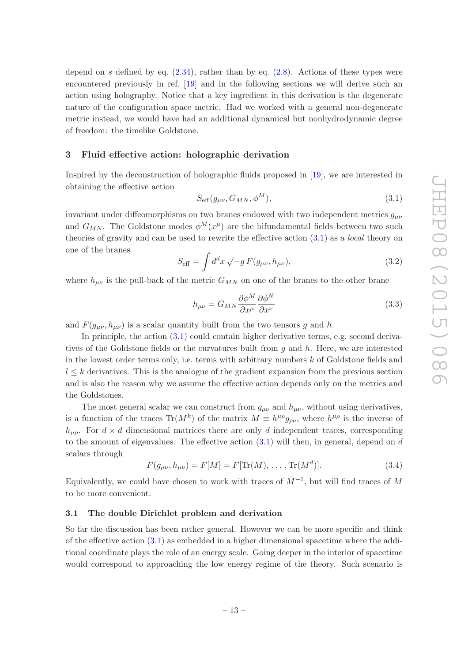depend on s defined by eq.  $(2.34)$ , rather than by eq.  $(2.8)$ . Actions of these types were encountered previously in ref. [\[19\]](#page-36-6) and in the following sections we will derive such an action using holography. Notice that a key ingredient in this derivation is the degenerate nature of the configuration space metric. Had we worked with a general non-degenerate metric instead, we would have had an additional dynamical but nonhydrodynamic degree of freedom: the timelike Goldstone.

#### <span id="page-14-0"></span>3 Fluid effective action: holographic derivation

Inspired by the deconstruction of holographic fluids proposed in [\[19](#page-36-6)], we are interested in obtaining the effective action

<span id="page-14-2"></span>
$$
S_{\text{eff}}(g_{\mu\nu}, G_{MN}, \phi^M), \tag{3.1}
$$

invariant under diffeomorphisms on two branes endowed with two independent metrics  $g_{\mu\nu}$ and  $G_{MN}$ . The Goldstone modes  $\phi^M(x^{\mu})$  are the bifundamental fields between two such theories of gravity and can be used to rewrite the effective action  $(3.1)$  as a *local* theory on one of the branes

<span id="page-14-4"></span>
$$
S_{\text{eff}} = \int d^d x \sqrt{-g} F(g_{\mu\nu}, h_{\mu\nu}), \qquad (3.2)
$$

where  $h_{\mu\nu}$  is the pull-back of the metric  $G_{MN}$  on one of the branes to the other brane

<span id="page-14-5"></span>
$$
h_{\mu\nu} = G_{MN} \frac{\partial \phi^M}{\partial x^\mu} \frac{\partial \phi^N}{\partial x^\nu}
$$
\n(3.3)

and  $F(g_{\mu\nu}, h_{\mu\nu})$  is a scalar quantity built from the two tensors g and h.

In principle, the action [\(3.1\)](#page-14-2) could contain higher derivative terms, e.g. second derivatives of the Goldstone fields or the curvatures built from  $q$  and  $h$ . Here, we are interested in the lowest order terms only, i.e. terms with arbitrary numbers k of Goldstone fields and  $l \leq k$  derivatives. This is the analogue of the gradient expansion from the previous section and is also the reason why we assume the effective action depends only on the metrics and the Goldstones.

The most general scalar we can construct from  $g_{\mu\nu}$  and  $h_{\mu\nu}$ , without using derivatives, is a function of the traces  $\text{Tr}(M^k)$  of the matrix  $M \equiv h^{\mu\rho} g_{\rho\nu}$ , where  $h^{\mu\rho}$  is the inverse of  $h_{\mu\rho}$ . For  $d \times d$  dimensional matrices there are only d independent traces, corresponding to the amount of eigenvalues. The effective action  $(3.1)$  will then, in general, depend on d scalars through

<span id="page-14-3"></span>
$$
F(g_{\mu\nu}, h_{\mu\nu}) = F[M] = F[\text{Tr}(M), \dots, \text{Tr}(M^d)].
$$
\n(3.4)

Equivalently, we could have chosen to work with traces of  $M^{-1}$ , but will find traces of M to be more convenient.

#### <span id="page-14-1"></span>3.1 The double Dirichlet problem and derivation

So far the discussion has been rather general. However we can be more specific and think of the effective action [\(3.1\)](#page-14-2) as embedded in a higher dimensional spacetime where the additional coordinate plays the role of an energy scale. Going deeper in the interior of spacetime would correspond to approaching the low energy regime of the theory. Such scenario is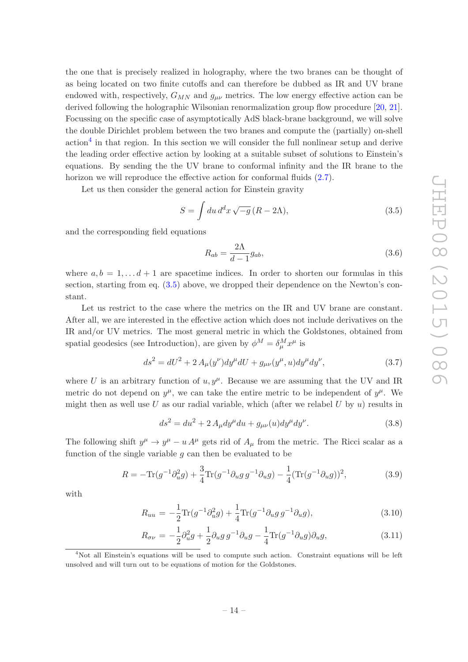the one that is precisely realized in holography, where the two branes can be thought of as being located on two finite cutoffs and can therefore be dubbed as IR and UV brane endowed with, respectively,  $G_{MN}$  and  $g_{\mu\nu}$  metrics. The low energy effective action can be derived following the holographic Wilsonian renormalization group flow procedure [\[20,](#page-36-7) [21\]](#page-36-8). Focussing on the specific case of asymptotically AdS black-brane background, we will solve the double Dirichlet problem between the two branes and compute the (partially) on-shell action<sup>[4](#page-15-0)</sup> in that region. In this section we will consider the full nonlinear setup and derive the leading order effective action by looking at a suitable subset of solutions to Einstein's equations. By sending the the UV brane to conformal infinity and the IR brane to the horizon we will reproduce the effective action for conformal fluids  $(2.7)$ .

Let us then consider the general action for Einstein gravity

<span id="page-15-1"></span>
$$
S = \int du \, d^d x \sqrt{-g} \left( R - 2\Lambda \right),\tag{3.5}
$$

and the corresponding field equations

<span id="page-15-3"></span>
$$
R_{ab} = \frac{2\Lambda}{d-1}g_{ab},\tag{3.6}
$$

where  $a, b = 1, \ldots d + 1$  are spacetime indices. In order to shorten our formulas in this section, starting from eq. [\(3.5\)](#page-15-1) above, we dropped their dependence on the Newton's constant.

Let us restrict to the case where the metrics on the IR and UV brane are constant. After all, we are interested in the effective action which does not include derivatives on the IR and/or UV metrics. The most general metric in which the Goldstones, obtained from spatial geodesics (see Introduction), are given by  $\phi^M = \delta^M_\mu x^\mu$  is

$$
ds^{2} = dU^{2} + 2A_{\mu}(y^{\nu})dy^{\mu}dU + g_{\mu\nu}(y^{\mu}, u)dy^{\mu}dy^{\nu},
$$
\n(3.7)

where U is an arbitrary function of  $u, y^{\mu}$ . Because we are assuming that the UV and IR metric do not depend on  $y^{\mu}$ , we can take the entire metric to be independent of  $y^{\mu}$ . We might then as well use U as our radial variable, which (after we relabel U by u) results in

$$
ds^{2} = du^{2} + 2 A_{\mu} dy^{\mu} du + g_{\mu\nu}(u) dy^{\mu} dy^{\nu}.
$$
\n(3.8)

The following shift  $y^{\mu} \to y^{\mu} - u A^{\mu}$  gets rid of  $A_{\mu}$  from the metric. The Ricci scalar as a function of the single variable  $q$  can then be evaluated to be

$$
R = -\text{Tr}(g^{-1}\partial_u^2 g) + \frac{3}{4}\text{Tr}(g^{-1}\partial_u g g^{-1}\partial_u g) - \frac{1}{4}(\text{Tr}(g^{-1}\partial_u g))^2,
$$
(3.9)

with

<span id="page-15-2"></span>
$$
R_{uu} = -\frac{1}{2} \text{Tr}(g^{-1}\partial_u^2 g) + \frac{1}{4} \text{Tr}(g^{-1}\partial_u g \, g^{-1}\partial_u g),\tag{3.10}
$$

$$
R_{\sigma\nu} = -\frac{1}{2}\partial_u^2 g + \frac{1}{2}\partial_u g \, g^{-1}\partial_u g - \frac{1}{4}\text{Tr}(g^{-1}\partial_u g)\partial_u g,\tag{3.11}
$$

<span id="page-15-0"></span><sup>4</sup>Not all Einstein's equations will be used to compute such action. Constraint equations will be left unsolved and will turn out to be equations of motion for the Goldstones.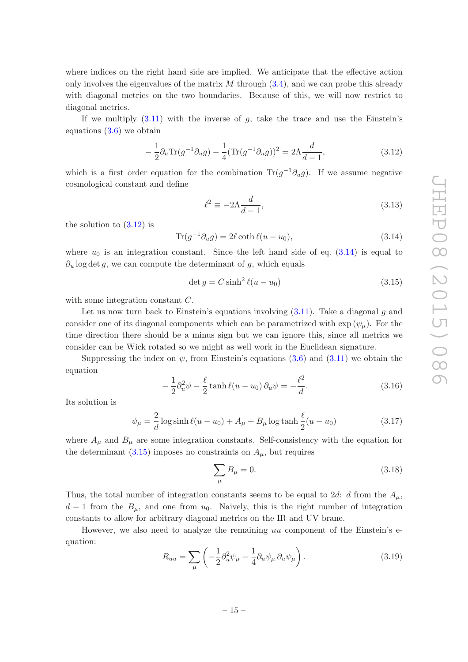where indices on the right hand side are implied. We anticipate that the effective action only involves the eigenvalues of the matrix  $M$  through  $(3.4)$ , and we can probe this already with diagonal metrics on the two boundaries. Because of this, we will now restrict to diagonal metrics.

If we multiply  $(3.11)$  with the inverse of g, take the trace and use the Einstein's equations  $(3.6)$  we obtain

<span id="page-16-0"></span>
$$
-\frac{1}{2}\partial_u \text{Tr}(g^{-1}\partial_u g) - \frac{1}{4}(\text{Tr}(g^{-1}\partial_u g))^2 = 2\Lambda \frac{d}{d-1},\tag{3.12}
$$

which is a first order equation for the combination  $\text{Tr}(g^{-1}\partial_u g)$ . If we assume negative cosmological constant and define

$$
\ell^2 \equiv -2\Lambda \frac{d}{d-1},\tag{3.13}
$$

the solution to  $(3.12)$  is

<span id="page-16-1"></span>
$$
\text{Tr}(g^{-1}\partial_u g) = 2\ell \coth \ell(u - u_0),\tag{3.14}
$$

where  $u_0$  is an integration constant. Since the left hand side of eq.  $(3.14)$  is equal to  $\partial_u$  log det g, we can compute the determinant of g, which equals

<span id="page-16-2"></span>
$$
\det g = C \sinh^2 \ell (u - u_0) \tag{3.15}
$$

with some integration constant C.

Let us now turn back to Einstein's equations involving  $(3.11)$ . Take a diagonal g and consider one of its diagonal components which can be parametrized with  $\exp(\psi_{\mu})$ . For the time direction there should be a minus sign but we can ignore this, since all metrics we consider can be Wick rotated so we might as well work in the Euclidean signature.

Suppressing the index on  $\psi$ , from Einstein's equations [\(3.6\)](#page-15-3) and [\(3.11\)](#page-15-2) we obtain the equation

$$
-\frac{1}{2}\partial_u^2\psi - \frac{\ell}{2}\tanh\ell(u - u_0)\partial_u\psi = -\frac{\ell^2}{d}.
$$
\n(3.16)

Its solution is

<span id="page-16-3"></span>
$$
\psi_{\mu} = \frac{2}{d} \log \sinh \ell(u - u_0) + A_{\mu} + B_{\mu} \log \tanh \frac{\ell}{2}(u - u_0)
$$
\n(3.17)

where  $A_{\mu}$  and  $B_{\mu}$  are some integration constants. Self-consistency with the equation for the determinant  $(3.15)$  imposes no constraints on  $A_{\mu}$ , but requires

$$
\sum_{\mu} B_{\mu} = 0. \tag{3.18}
$$

Thus, the total number of integration constants seems to be equal to 2d: d from the  $A_{\mu}$ ,  $d-1$  from the  $B_{\mu}$ , and one from  $u_0$ . Naively, this is the right number of integration constants to allow for arbitrary diagonal metrics on the IR and UV brane.

However, we also need to analyze the remaining uu component of the Einstein's equation:

$$
R_{uu} = \sum_{\mu} \left( -\frac{1}{2} \partial_u^2 \psi_\mu - \frac{1}{4} \partial_u \psi_\mu \partial_u \psi_\mu \right). \tag{3.19}
$$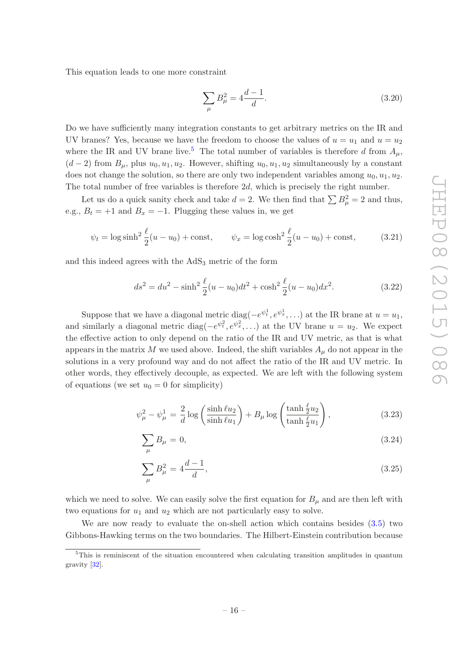This equation leads to one more constraint

$$
\sum_{\mu} B_{\mu}^2 = 4 \frac{d-1}{d}.
$$
\n(3.20)

Do we have sufficiently many integration constants to get arbitrary metrics on the IR and UV branes? Yes, because we have the freedom to choose the values of  $u = u_1$  and  $u = u_2$ where the IR and UV brane live.<sup>[5](#page-17-0)</sup> The total number of variables is therefore d from  $A_{\mu}$ ,  $(d-2)$  from  $B_{\mu}$ , plus  $u_0, u_1, u_2$ . However, shifting  $u_0, u_1, u_2$  simultaneously by a constant does not change the solution, so there are only two independent variables among  $u_0, u_1, u_2$ . The total number of free variables is therefore  $2d$ , which is precisely the right number.

Let us do a quick sanity check and take  $d = 2$ . We then find that  $\sum B_{\mu}^2 = 2$  and thus, e.g.,  $B_t = +1$  and  $B_x = -1$ . Plugging these values in, we get

$$
\psi_t = \log \sinh^2 \frac{\ell}{2}(u - u_0) + \text{const}, \qquad \psi_x = \log \cosh^2 \frac{\ell}{2}(u - u_0) + \text{const},
$$
\n(3.21)

and this indeed agrees with the AdS<sub>3</sub> metric of the form

$$
ds^{2} = du^{2} - \sinh^{2} \frac{\ell}{2} (u - u_{0}) dt^{2} + \cosh^{2} \frac{\ell}{2} (u - u_{0}) dx^{2}.
$$
 (3.22)

Suppose that we have a diagonal metric diag( $-e^{\psi_t^1}, e^{\psi_x^1}, \ldots$ ) at the IR brane at  $u = u_1$ , and similarly a diagonal metric diag( $-e^{\psi_t^2}, e^{\psi_x^2}, \ldots$ ) at the UV brane  $u = u_2$ . We expect the effective action to only depend on the ratio of the IR and UV metric, as that is what appears in the matrix M we used above. Indeed, the shift variables  $A_\mu$  do not appear in the solutions in a very profound way and do not affect the ratio of the IR and UV metric. In other words, they effectively decouple, as expected. We are left with the following system of equations (we set  $u_0 = 0$  for simplicity)

<span id="page-17-1"></span>
$$
\psi_{\mu}^{2} - \psi_{\mu}^{1} = \frac{2}{d} \log \left( \frac{\sinh \ell u_{2}}{\sinh \ell u_{1}} \right) + B_{\mu} \log \left( \frac{\tanh \frac{\ell}{2} u_{2}}{\tanh \frac{\ell}{2} u_{1}} \right), \tag{3.23}
$$

$$
\sum_{\mu} B_{\mu} = 0,\tag{3.24}
$$

$$
\sum_{\mu} B_{\mu}^2 = 4 \frac{d-1}{d},\tag{3.25}
$$

which we need to solve. We can easily solve the first equation for  $B_{\mu}$  and are then left with two equations for  $u_1$  and  $u_2$  which are not particularly easy to solve.

We are now ready to evaluate the on-shell action which contains besides [\(3.5\)](#page-15-1) two Gibbons-Hawking terms on the two boundaries. The Hilbert-Einstein contribution because

<span id="page-17-0"></span><sup>&</sup>lt;sup>5</sup>This is reminiscent of the situation encountered when calculating transition amplitudes in quantum gravity [\[32](#page-36-17)].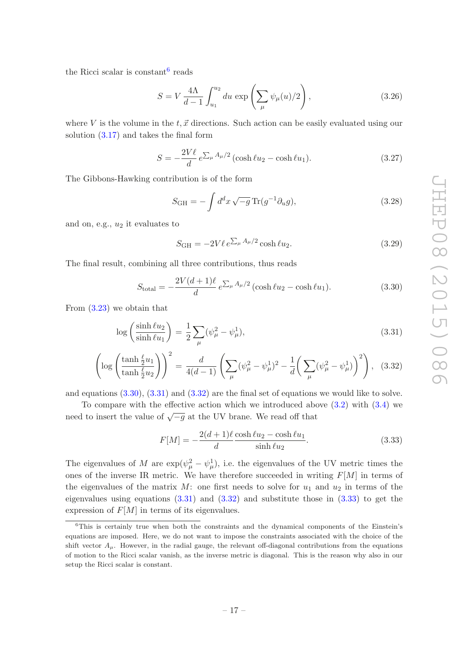the Ricci scalar is constant<sup>[6](#page-18-0)</sup> reads

$$
S = V \frac{4\Lambda}{d - 1} \int_{u_1}^{u_2} du \, \exp\left(\sum_{\mu} \psi_{\mu}(u)/2\right),\tag{3.26}
$$

where V is the volume in the  $t, \vec{x}$  directions. Such action can be easily evaluated using our solution [\(3.17\)](#page-16-3) and takes the final form

$$
S = -\frac{2V\ell}{d} e^{\sum_{\mu} A_{\mu}/2} (\cosh \ell u_2 - \cosh \ell u_1).
$$
 (3.27)

The Gibbons-Hawking contribution is of the form

$$
S_{\text{GH}} = -\int d^d x \sqrt{-g} \operatorname{Tr}(g^{-1}\partial_u g), \qquad (3.28)
$$

and on, e.g.,  $u_2$  it evaluates to

$$
S_{\text{GH}} = -2V\ell \, e^{\sum_{\mu} A_{\mu}/2} \cosh \ell u_2. \tag{3.29}
$$

The final result, combining all three contributions, thus reads

<span id="page-18-1"></span>
$$
S_{\text{total}} = -\frac{2V(d+1)\ell}{d} e^{\sum_{\mu} A_{\mu}/2} (\cosh \ell u_2 - \cosh \ell u_1). \tag{3.30}
$$

From [\(3.23\)](#page-17-1) we obtain that

<span id="page-18-2"></span>
$$
\log\left(\frac{\sinh\ell u_2}{\sinh\ell u_1}\right) = \frac{1}{2}\sum_{\mu}(\psi_{\mu}^2 - \psi_{\mu}^1),\tag{3.31}
$$

$$
\left(\log\left(\frac{\tanh\frac{\ell}{2}u_1}{\tanh\frac{\ell}{2}u_2}\right)\right)^2 = \frac{d}{4(d-1)}\left(\sum_{\mu}(\psi_{\mu}^2 - \psi_{\mu}^1)^2 - \frac{1}{d}\left(\sum_{\mu}(\psi_{\mu}^2 - \psi_{\mu}^1)\right)^2\right), (3.32)
$$

and equations  $(3.30)$ ,  $(3.31)$  and  $(3.32)$  are the final set of equations we would like to solve.

To compare with the effective action which we introduced above [\(3.2\)](#page-14-4) with [\(3.4\)](#page-14-3) we need to insert the value of  $\sqrt{-g}$  at the UV brane. We read off that

<span id="page-18-3"></span>
$$
F[M] = -\frac{2(d+1)\ell \cosh \ell u_2 - \cosh \ell u_1}{d}.
$$
 (3.33)

The eigenvalues of M are  $\exp(\psi_{\mu}^2 - \psi_{\mu}^1)$ , i.e. the eigenvalues of the UV metric times the ones of the inverse IR metric. We have therefore succeeded in writing  $F[M]$  in terms of the eigenvalues of the matrix M: one first needs to solve for  $u_1$  and  $u_2$  in terms of the eigenvalues using equations  $(3.31)$  and  $(3.32)$  and substitute those in  $(3.33)$  to get the expression of  $F[M]$  in terms of its eigenvalues.

<span id="page-18-0"></span><sup>6</sup>This is certainly true when both the constraints and the dynamical components of the Einstein's equations are imposed. Here, we do not want to impose the constraints associated with the choice of the shift vector  $A_{\mu}$ . However, in the radial gauge, the relevant off-diagonal contributions from the equations of motion to the Ricci scalar vanish, as the inverse metric is diagonal. This is the reason why also in our setup the Ricci scalar is constant.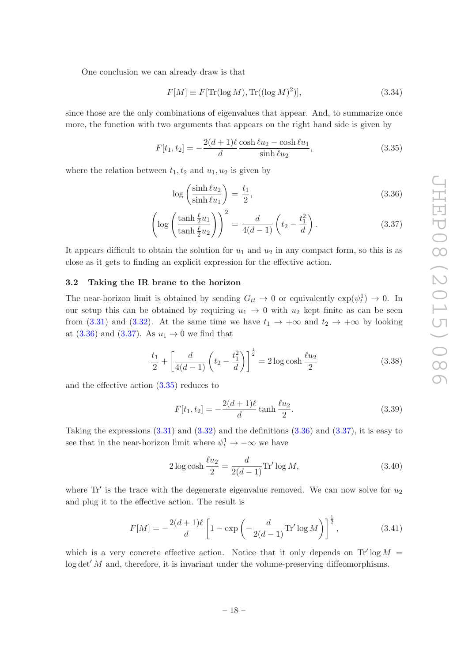One conclusion we can already draw is that

$$
F[M] \equiv F[\text{Tr}(\log M), \text{Tr}((\log M)^2)],\tag{3.34}
$$

since those are the only combinations of eigenvalues that appear. And, to summarize once more, the function with two arguments that appears on the right hand side is given by

<span id="page-19-2"></span>
$$
F[t_1, t_2] = -\frac{2(d+1)\ell \cosh \ell u_2 - \cosh \ell u_1}{d} , \qquad (3.35)
$$

where the relation between  $t_1, t_2$  and  $u_1, u_2$  is given by

<span id="page-19-1"></span>
$$
\log\left(\frac{\sinh\ell u_2}{\sinh\ell u_1}\right) = \frac{t_1}{2},\tag{3.36}
$$

$$
\left(\log\left(\frac{\tanh\frac{\ell}{2}u_1}{\tanh\frac{\ell}{2}u_2}\right)\right)^2 = \frac{d}{4(d-1)}\left(t_2 - \frac{t_1^2}{d}\right). \tag{3.37}
$$

It appears difficult to obtain the solution for  $u_1$  and  $u_2$  in any compact form, so this is as close as it gets to finding an explicit expression for the effective action.

#### <span id="page-19-0"></span>3.2 Taking the IR brane to the horizon

The near-horizon limit is obtained by sending  $G_{tt} \to 0$  or equivalently  $\exp(\psi_t^1) \to 0$ . In our setup this can be obtained by requiring  $u_1 \rightarrow 0$  with  $u_2$  kept finite as can be seen from [\(3.31\)](#page-18-2) and [\(3.32\)](#page-18-2). At the same time we have  $t_1 \rightarrow +\infty$  and  $t_2 \rightarrow +\infty$  by looking at [\(3.36\)](#page-19-1) and [\(3.37\)](#page-19-1). As  $u_1 \rightarrow 0$  we find that

$$
\frac{t_1}{2} + \left[\frac{d}{4(d-1)}\left(t_2 - \frac{t_1^2}{d}\right)\right]^{\frac{1}{2}} = 2\log\cosh\frac{\ell u_2}{2}
$$
 (3.38)

and the effective action [\(3.35\)](#page-19-2) reduces to

$$
F[t_1, t_2] = -\frac{2(d+1)\ell}{d} \tanh \frac{\ell u_2}{2}.
$$
 (3.39)

Taking the expressions  $(3.31)$  and  $(3.32)$  and the definitions  $(3.36)$  and  $(3.37)$ , it is easy to see that in the near-horizon limit where  $\psi_t^1 \to -\infty$  we have

$$
2\log\cosh\frac{\ell u_2}{2} = \frac{d}{2(d-1)} \text{Tr}' \log M,\tag{3.40}
$$

where Tr' is the trace with the degenerate eigenvalue removed. We can now solve for  $u_2$ and plug it to the effective action. The result is

<span id="page-19-3"></span>
$$
F[M] = -\frac{2(d+1)\ell}{d} \left[ 1 - \exp\left( -\frac{d}{2(d-1)} \text{Tr}' \log M \right) \right]^{\frac{1}{2}},\tag{3.41}
$$

which is a very concrete effective action. Notice that it only depends on  $\text{Tr}'\log M =$  $\log \det' M$  and, therefore, it is invariant under the volume-preserving diffeomorphisms.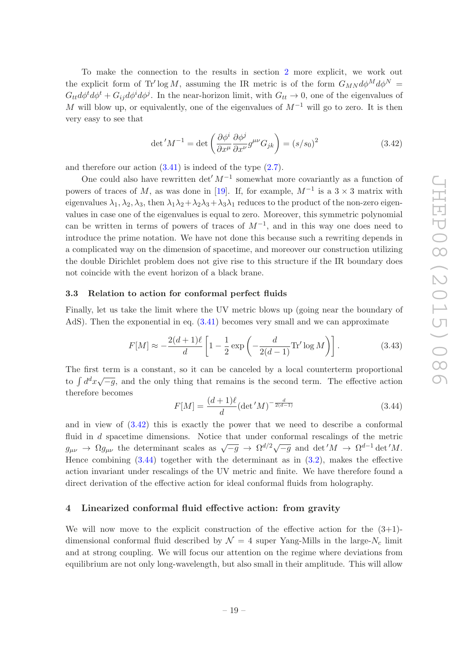To make the connection to the results in section [2](#page-8-0) more explicit, we work out the explicit form of Tr'log M, assuming the IR metric is of the form  $G_{MN}d\phi^M d\phi^N =$  $G_{tt}d\phi^t d\phi^t + G_{ij}d\phi^i d\phi^j$ . In the near-horizon limit, with  $G_{tt} \to 0$ , one of the eigenvalues of M will blow up, or equivalently, one of the eigenvalues of  $M^{-1}$  will go to zero. It is then very easy to see that

<span id="page-20-2"></span>
$$
\det' M^{-1} = \det \left( \frac{\partial \phi^i}{\partial x^\mu} \frac{\partial \phi^j}{\partial x^\nu} g^{\mu \nu} G_{jk} \right) = (s/s_0)^2 \tag{3.42}
$$

and therefore our action [\(3.41\)](#page-19-3) is indeed of the type [\(2.7\)](#page-9-2).

One could also have rewritten  $\det' M^{-1}$  somewhat more covariantly as a function of powers of traces of M, as was done in [\[19](#page-36-6)]. If, for example,  $M^{-1}$  is a  $3 \times 3$  matrix with eigenvalues  $\lambda_1, \lambda_2, \lambda_3$ , then  $\lambda_1\lambda_2+\lambda_2\lambda_3+\lambda_3\lambda_1$  reduces to the product of the non-zero eigenvalues in case one of the eigenvalues is equal to zero. Moreover, this symmetric polynomial can be written in terms of powers of traces of  $M^{-1}$ , and in this way one does need to introduce the prime notation. We have not done this because such a rewriting depends in a complicated way on the dimension of spacetime, and moreover our construction utilizing the double Dirichlet problem does not give rise to this structure if the IR boundary does not coincide with the event horizon of a black brane.

#### <span id="page-20-0"></span>3.3 Relation to action for conformal perfect fluids

Finally, let us take the limit where the UV metric blows up (going near the boundary of AdS). Then the exponential in eq.  $(3.41)$  becomes very small and we can approximate

$$
F[M] \approx -\frac{2(d+1)\ell}{d} \left[ 1 - \frac{1}{2} \exp\left(-\frac{d}{2(d-1)} \text{Tr}' \log M\right) \right]. \tag{3.43}
$$

The first term is a constant, so it can be canceled by a local counterterm proportional to  $\int d^dx \sqrt{-g}$ , and the only thing that remains is the second term. The effective action therefore becomes

<span id="page-20-3"></span>
$$
F[M] = \frac{(d+1)\ell}{d} (\det'M)^{-\frac{d}{2(d-1)}} \tag{3.44}
$$

and in view of [\(3.42\)](#page-20-2) this is exactly the power that we need to describe a conformal fluid in d spacetime dimensions. Notice that under conformal rescalings of the metric  $g_{\mu\nu} \to \Omega g_{\mu\nu}$  the determinant scales as  $\sqrt{-g} \to \Omega^{d/2} \sqrt{-g}$  and  $\det(M) \to \Omega^{d-1} \det(M)$ . Hence combining  $(3.44)$  together with the determinant as in  $(3.2)$ , makes the effective action invariant under rescalings of the UV metric and finite. We have therefore found a direct derivation of the effective action for ideal conformal fluids from holography.

### <span id="page-20-1"></span>4 Linearized conformal fluid effective action: from gravity

We will now move to the explicit construction of the effective action for the  $(3+1)$ dimensional conformal fluid described by  $\mathcal{N} = 4$  super Yang-Mills in the large-N<sub>c</sub> limit and at strong coupling. We will focus our attention on the regime where deviations from equilibrium are not only long-wavelength, but also small in their amplitude. This will allow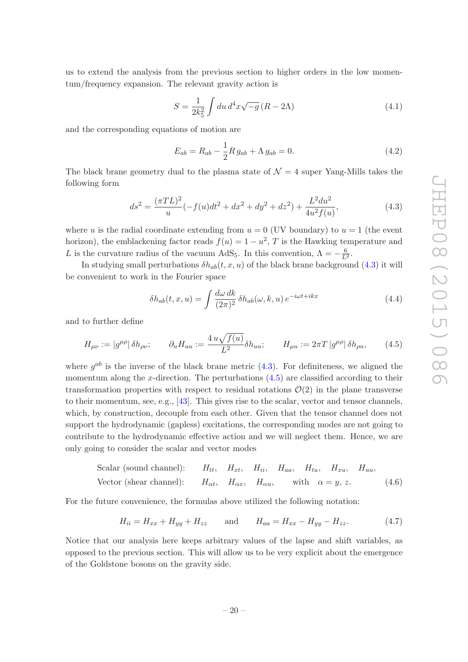us to extend the analysis from the previous section to higher orders in the low momentum/frequency expansion. The relevant gravity action is

<span id="page-21-2"></span>
$$
S = \frac{1}{2k_5^2} \int du \, d^4x \sqrt{-g} \left( R - 2\Lambda \right) \tag{4.1}
$$

and the corresponding equations of motion are

$$
E_{ab} = R_{ab} - \frac{1}{2} R g_{ab} + \Lambda g_{ab} = 0.
$$
 (4.2)

The black brane geometry dual to the plasma state of  $\mathcal{N}=4$  super Yang-Mills takes the following form

<span id="page-21-0"></span>
$$
ds^{2} = \frac{(\pi TL)^{2}}{u}(-f(u)dt^{2} + dx^{2} + dy^{2} + dz^{2}) + \frac{L^{2}du^{2}}{4u^{2}f(u)},
$$
\n(4.3)

where u is the radial coordinate extending from  $u = 0$  (UV boundary) to  $u = 1$  (the event horizon), the emblackening factor reads  $f(u) = 1 - u^2$ , T is the Hawking temperature and L is the curvature radius of the vacuum AdS<sub>5</sub>. In this convention,  $\Lambda = -\frac{6}{L^2}$ .

In studying small perturbations  $\delta h_{ab}(t, x, u)$  of the black brane background [\(4.3\)](#page-21-0) it will be convenient to work in the Fourier space

$$
\delta h_{ab}(t, x, u) = \int \frac{d\omega \, dk}{(2\pi)^2} \, \delta h_{ab}(\omega, k, u) \, e^{-i\omega t + ikx} \tag{4.4}
$$

and to further define

<span id="page-21-1"></span>
$$
H_{\mu\nu} := |g^{\mu\rho}|\,\delta h_{\rho\nu};\qquad \partial_u H_{uu} := \frac{4\,u\sqrt{f(u)}}{L^2}\delta h_{uu};\qquad H_{\mu u} := 2\pi T\,|g^{\mu\rho}|\,\delta h_{\rho u},\qquad(4.5)
$$

where  $g^{ab}$  is the inverse of the black brane metric  $(4.3)$ . For definiteness, we aligned the momentum along the x-direction. The perturbations  $(4.5)$  are classified according to their transformation properties with respect to residual rotations  $\mathcal{O}(2)$  in the plane transverse to their momentum, see, e.g., [\[43](#page-37-9)]. This gives rise to the scalar, vector and tensor channels, which, by construction, decouple from each other. Given that the tensor channel does not support the hydrodynamic (gapless) excitations, the corresponding modes are not going to contribute to the hydrodynamic effective action and we will neglect them. Hence, we are only going to consider the scalar and vector modes

Scalar (sound channel): 
$$
H_{tt}
$$
,  $H_{xt}$ ,  $H_{ii}$ ,  $H_{aa}$ ,  $H_{tu}$ ,  $H_{xu}$ ,  $H_{uu}$ ,  
Vector (shear channel):  $H_{\alpha t}$ ,  $H_{\alpha x}$ ,  $H_{\alpha u}$ , with  $\alpha = y$ , z. (4.6)

For the future convenience, the formulas above utilized the following notation:

$$
H_{ii} = H_{xx} + H_{yy} + H_{zz} \quad \text{and} \quad H_{aa} = H_{xx} - H_{yy} - H_{zz}.
$$
 (4.7)

Notice that our analysis here keeps arbitrary values of the lapse and shift variables, as opposed to the previous section. This will allow us to be very explicit about the emergence of the Goldstone bosons on the gravity side.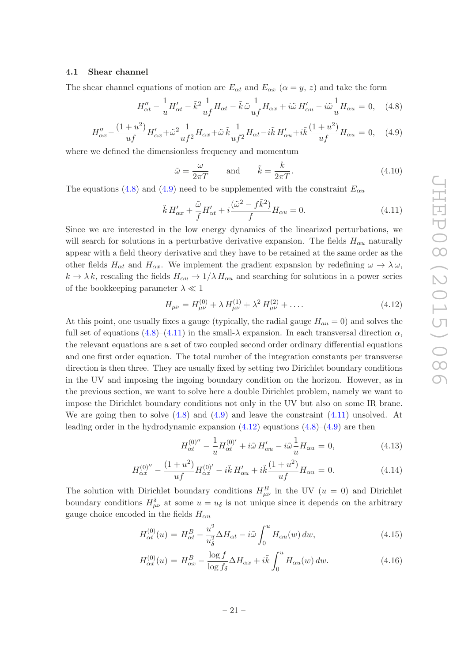#### <span id="page-22-0"></span>4.1 Shear channel

The shear channel equations of motion are  $E_{\alpha t}$  and  $E_{\alpha x}$  ( $\alpha = y, z$ ) and take the form

<span id="page-22-1"></span>
$$
H''_{\alpha t} - \frac{1}{u} H'_{\alpha t} - \tilde{k}^2 \frac{1}{uf} H_{\alpha t} - \tilde{k} \tilde{\omega} \frac{1}{uf} H_{\alpha x} + i \tilde{\omega} H'_{\alpha u} - i \tilde{\omega} \frac{1}{u} H_{\alpha u} = 0, \quad (4.8)
$$

$$
H''_{\alpha x} - \frac{(1+u^2)}{uf} H'_{\alpha x} + \tilde{\omega}^2 \frac{1}{uf^2} H_{\alpha x} + \tilde{\omega} \tilde{k} \frac{1}{uf^2} H_{\alpha t} - i\tilde{k} H'_{\alpha u} + i\tilde{k} \frac{(1+u^2)}{uf} H_{\alpha u} = 0, \quad (4.9)
$$

where we defined the dimensionless frequency and momentum

$$
\tilde{\omega} = \frac{\omega}{2\pi T} \quad \text{and} \quad \tilde{k} = \frac{k}{2\pi T}.
$$
\n(4.10)

The equations [\(4.8\)](#page-22-1) and [\(4.9\)](#page-22-1) need to be supplemented with the constraint  $E_{\alpha u}$ 

<span id="page-22-2"></span>
$$
\tilde{k} H'_{\alpha x} + \frac{\tilde{\omega}}{f} H'_{\alpha t} + i \frac{(\tilde{\omega}^2 - f\tilde{k}^2)}{f} H_{\alpha u} = 0.
$$
\n(4.11)

Since we are interested in the low energy dynamics of the linearized perturbations, we will search for solutions in a perturbative derivative expansion. The fields  $H_{\alpha u}$  naturally appear with a field theory derivative and they have to be retained at the same order as the other fields  $H_{\alpha t}$  and  $H_{\alpha x}$ . We implement the gradient expansion by redefining  $\omega \to \lambda \omega$ ,  $k \to \lambda k$ , rescaling the fields  $H_{\alpha u} \to 1/\lambda H_{\alpha u}$  and searching for solutions in a power series of the bookkeeping parameter  $\lambda \ll 1$ 

<span id="page-22-3"></span>
$$
H_{\mu\nu} = H_{\mu\nu}^{(0)} + \lambda H_{\mu\nu}^{(1)} + \lambda^2 H_{\mu\nu}^{(2)} + \dots
$$
\n(4.12)

At this point, one usually fixes a gauge (typically, the radial gauge  $H_{au} = 0$ ) and solves the full set of equations  $(4.8)$ – $(4.11)$  in the small- $\lambda$  expansion. In each transversal direction  $\alpha$ , the relevant equations are a set of two coupled second order ordinary differential equations and one first order equation. The total number of the integration constants per transverse direction is then three. They are usually fixed by setting two Dirichlet boundary conditions in the UV and imposing the ingoing boundary condition on the horizon. However, as in the previous section, we want to solve here a double Dirichlet problem, namely we want to impose the Dirichlet boundary conditions not only in the UV but also on some IR brane. We are going then to solve  $(4.8)$  and  $(4.9)$  and leave the constraint  $(4.11)$  unsolved. At leading order in the hydrodynamic expansion  $(4.12)$  equations  $(4.8)$ – $(4.9)$  are then

$$
H_{\alpha t}^{(0)''} - \frac{1}{u} H_{\alpha t}^{(0)'} + i \tilde{\omega} H_{\alpha u}' - i \tilde{\omega} \frac{1}{u} H_{\alpha u} = 0, \qquad (4.13)
$$

$$
H_{\alpha x}^{(0)''} - \frac{(1+u^2)}{uf} H_{\alpha x}^{(0)'} - i\tilde{k} H_{\alpha u}' + i\tilde{k}\frac{(1+u^2)}{uf} H_{\alpha u} = 0.
$$
 (4.14)

The solution with Dirichlet boundary conditions  $H_{\mu\nu}^B$  in the UV  $(u = 0)$  and Dirichlet boundary conditions  $H^{\delta}_{\mu\nu}$  at some  $u = u_{\delta}$  is not unique since it depends on the arbitrary gauge choice encoded in the fields  $H_{\alpha u}$ 

<span id="page-22-4"></span>
$$
H_{\alpha t}^{(0)}(u) = H_{\alpha t}^B - \frac{u^2}{u_\delta^2} \Delta H_{\alpha t} - i\tilde{\omega} \int_0^u H_{\alpha u}(w) \, dw,\tag{4.15}
$$

$$
H_{\alpha x}^{(0)}(u) = H_{\alpha x}^B - \frac{\log f}{\log f_\delta} \Delta H_{\alpha x} + i\tilde{k} \int_0^u H_{\alpha u}(w) \, dw. \tag{4.16}
$$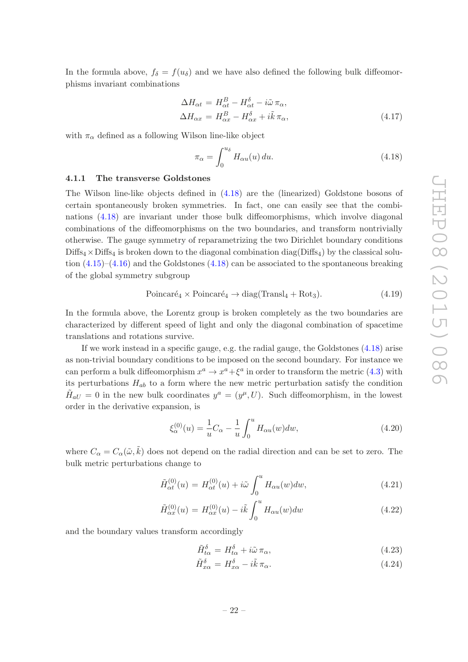In the formula above,  $f_{\delta} = f(u_{\delta})$  and we have also defined the following bulk diffeomorphisms invariant combinations

$$
\Delta H_{\alpha t} = H_{\alpha t}^{B} - H_{\alpha t}^{\delta} - i\tilde{\omega}\,\pi_{\alpha},
$$
  
\n
$$
\Delta H_{\alpha x} = H_{\alpha x}^{B} - H_{\alpha x}^{\delta} + i\tilde{k}\,\pi_{\alpha},
$$
\n(4.17)

with  $\pi_{\alpha}$  defined as a following Wilson line-like object

<span id="page-23-1"></span>
$$
\pi_{\alpha} = \int_0^{u_\delta} H_{\alpha u}(u) du.
$$
\n(4.18)

#### <span id="page-23-0"></span>4.1.1 The transverse Goldstones

The Wilson line-like objects defined in [\(4.18\)](#page-23-1) are the (linearized) Goldstone bosons of certain spontaneously broken symmetries. In fact, one can easily see that the combinations [\(4.18\)](#page-23-1) are invariant under those bulk diffeomorphisms, which involve diagonal combinations of the diffeomorphisms on the two boundaries, and transform nontrivially otherwise. The gauge symmetry of reparametrizing the two Dirichlet boundary conditions  $Diffs<sub>4</sub> \times Diffs<sub>4</sub>$  is broken down to the diagonal combination diag(Diffs<sub>4</sub>) by the classical solution  $(4.15)-(4.16)$  $(4.15)-(4.16)$  and the Goldstones  $(4.18)$  can be associated to the spontaneous breaking of the global symmetry subgroup

Poincaré<sub>4</sub> × Poincaré<sub>4</sub> 
$$
\rightarrow
$$
 diag(Transl<sub>4</sub> + Rot<sub>3</sub>). (4.19)

In the formula above, the Lorentz group is broken completely as the two boundaries are characterized by different speed of light and only the diagonal combination of spacetime translations and rotations survive.

If we work instead in a specific gauge, e.g. the radial gauge, the Goldstones [\(4.18\)](#page-23-1) arise as non-trivial boundary conditions to be imposed on the second boundary. For instance we can perform a bulk diffeomorphism  $x^a \to x^a + \xi^a$  in order to transform the metric [\(4.3\)](#page-21-0) with its perturbations  $H_{ab}$  to a form where the new metric perturbation satisfy the condition  $\tilde{H}_{aU} = 0$  in the new bulk coordinates  $y^a = (y^{\mu}, U)$ . Such diffeomorphism, in the lowest order in the derivative expansion, is

$$
\xi_{\alpha}^{(0)}(u) = \frac{1}{u}C_{\alpha} - \frac{1}{u} \int_{0}^{u} H_{\alpha u}(w)dw, \qquad (4.20)
$$

where  $C_{\alpha} = C_{\alpha}(\tilde{\omega}, \tilde{k})$  does not depend on the radial direction and can be set to zero. The bulk metric perturbations change to

$$
\tilde{H}_{\alpha t}^{(0)}(u) = H_{\alpha t}^{(0)}(u) + i\tilde{\omega} \int_0^u H_{\alpha u}(w) dw,
$$
\n(4.21)

$$
\tilde{H}_{\alpha x}^{(0)}(u) = H_{\alpha x}^{(0)}(u) - i\tilde{k} \int_0^u H_{\alpha u}(w) dw \qquad (4.22)
$$

and the boundary values transform accordingly

$$
\tilde{H}^{\delta}_{t\alpha} = H^{\delta}_{t\alpha} + i\tilde{\omega}\,\pi_{\alpha},\tag{4.23}
$$

$$
\tilde{H}_{x\alpha}^{\delta} = H_{x\alpha}^{\delta} - i\tilde{k}\,\pi_{\alpha}.\tag{4.24}
$$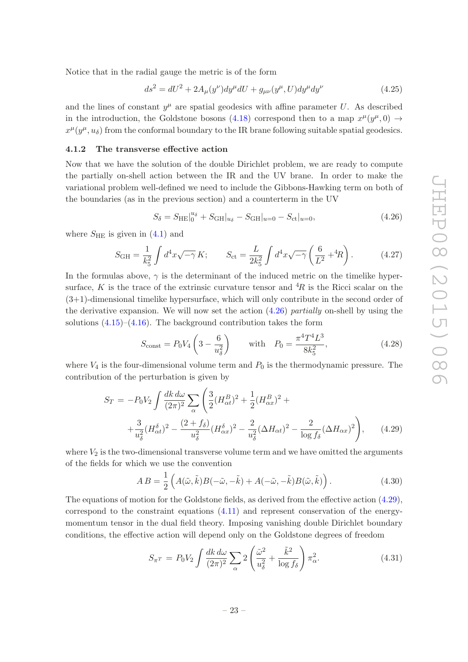Notice that in the radial gauge the metric is of the form

$$
ds^{2} = dU^{2} + 2A_{\mu}(y^{\nu})dy^{\mu}dU + g_{\mu\nu}(y^{\mu}, U)dy^{\mu}dy^{\nu}
$$
\n(4.25)

and the lines of constant  $y^{\mu}$  are spatial geodesics with affine parameter U. As described in the introduction, the Goldstone bosons [\(4.18\)](#page-23-1) correspond then to a map  $x^{\mu}(y^{\mu},0) \rightarrow$  $x^{\mu}(y^{\mu}, u_{\delta})$  from the conformal boundary to the IR brane following suitable spatial geodesics.

#### <span id="page-24-0"></span>4.1.2 The transverse effective action

Now that we have the solution of the double Dirichlet problem, we are ready to compute the partially on-shell action between the IR and the UV brane. In order to make the variational problem well-defined we need to include the Gibbons-Hawking term on both of the boundaries (as in the previous section) and a counterterm in the UV

<span id="page-24-1"></span>
$$
S_{\delta} = S_{\mathrm{HE}}|_{0}^{u_{\delta}} + S_{\mathrm{GH}}|_{u_{\delta}} - S_{\mathrm{GH}}|_{u=0} - S_{\mathrm{ct}}|_{u=0},\tag{4.26}
$$

where  $S_{\text{HE}}$  is given in [\(4.1\)](#page-21-2) and

$$
S_{\rm GH} = \frac{1}{k_5^2} \int d^4x \sqrt{-\gamma} \, K; \qquad S_{\rm ct} = \frac{L}{2k_5^2} \int d^4x \sqrt{-\gamma} \left(\frac{6}{L^2} + ^4R\right). \tag{4.27}
$$

In the formulas above,  $\gamma$  is the determinant of the induced metric on the timelike hypersurface, K is the trace of the extrinsic curvature tensor and  ${}^{4}R$  is the Ricci scalar on the  $(3+1)$ -dimensional timelike hypersurface, which will only contribute in the second order of the derivative expansion. We will now set the action  $(4.26)$  partially on-shell by using the solutions  $(4.15)$ – $(4.16)$ . The background contribution takes the form

$$
S_{\text{const}} = P_0 V_4 \left( 3 - \frac{6}{u_\delta^2} \right) \qquad \text{with} \quad P_0 = \frac{\pi^4 T^4 L^3}{8k_5^2}, \tag{4.28}
$$

where  $V_4$  is the four-dimensional volume term and  $P_0$  is the thermodynamic pressure. The contribution of the perturbation is given by

<span id="page-24-2"></span>
$$
S_T = -P_0 V_2 \int \frac{dk \, d\omega}{(2\pi)^2} \sum_{\alpha} \left( \frac{3}{2} (H_{\alpha t}^B)^2 + \frac{1}{2} (H_{\alpha x}^B)^2 + \right. \\
\left. + \frac{3}{u_\delta^2} (H_{\alpha t}^\delta)^2 - \frac{(2+f_\delta)}{u_\delta^2} (H_{\alpha x}^\delta)^2 - \frac{2}{u_\delta^2} (\Delta H_{\alpha t})^2 - \frac{2}{\log f_\delta} (\Delta H_{\alpha x})^2 \right), \tag{4.29}
$$

where  $V_2$  is the two-dimensional transverse volume term and we have omitted the arguments of the fields for which we use the convention

<span id="page-24-3"></span>
$$
AB = \frac{1}{2} \left( A(\tilde{\omega}, \tilde{k}) B(-\tilde{\omega}, -\tilde{k}) + A(-\tilde{\omega}, -\tilde{k}) B(\tilde{\omega}, \tilde{k}) \right).
$$
 (4.30)

The equations of motion for the Goldstone fields, as derived from the effective action [\(4.29\)](#page-24-2), correspond to the constraint equations  $(4.11)$  and represent conservation of the energymomentum tensor in the dual field theory. Imposing vanishing double Dirichlet boundary conditions, the effective action will depend only on the Goldstone degrees of freedom

$$
S_{\pi}r = P_0V_2 \int \frac{dk \, d\omega}{(2\pi)^2} \sum_{\alpha} 2\left(\frac{\tilde{\omega}^2}{u_\delta^2} + \frac{\tilde{k}^2}{\log f_\delta}\right) \pi_\alpha^2. \tag{4.31}
$$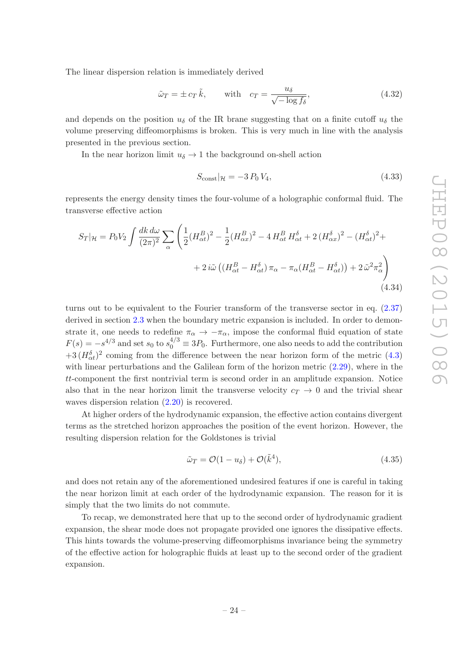The linear dispersion relation is immediately derived

$$
\tilde{\omega}_T = \pm c_T \tilde{k}, \quad \text{with} \quad c_T = \frac{u_\delta}{\sqrt{-\log f_\delta}}, \tag{4.32}
$$

and depends on the position  $u_{\delta}$  of the IR brane suggesting that on a finite cutoff  $u_{\delta}$  the volume preserving diffeomorphisms is broken. This is very much in line with the analysis presented in the previous section.

In the near horizon limit  $u_{\delta} \to 1$  the background on-shell action

$$
S_{\text{const}}|_{\mathcal{H}} = -3 P_0 V_4,\tag{4.33}
$$

represents the energy density times the four-volume of a holographic conformal fluid. The transverse effective action

$$
S_T|_{\mathcal{H}} = P_0 V_2 \int \frac{dk \, d\omega}{(2\pi)^2} \sum_{\alpha} \left( \frac{1}{2} (H_{\alpha t}^B)^2 - \frac{1}{2} (H_{\alpha x}^B)^2 - 4 H_{\alpha t}^B H_{\alpha t}^{\delta} + 2 (H_{\alpha x}^{\delta})^2 - (H_{\alpha t}^{\delta})^2 + \right. \\
\left. + 2 i \tilde{\omega} \left( (H_{\alpha t}^B - H_{\alpha t}^{\delta}) \pi_\alpha - \pi_\alpha (H_{\alpha t}^B - H_{\alpha t}^{\delta}) \right) + 2 \tilde{\omega}^2 \pi_\alpha^2 \right) \tag{4.34}
$$

turns out to be equivalent to the Fourier transform of the transverse sector in eq. [\(2.37\)](#page-13-0) derived in section [2.3](#page-11-0) when the boundary metric expansion is included. In order to demonstrate it, one needs to redefine  $\pi_{\alpha} \to -\pi_{\alpha}$ , impose the conformal fluid equation of state  $F(s) = -s^{4/3}$  and set  $s_0$  to  $s_0^{4/3} \equiv 3P_0$ . Furthermore, one also needs to add the contribution  $+3 (H_{\alpha t}^{\delta})^2$  coming from the difference between the near horizon form of the metric [\(4.3\)](#page-21-0) with linear perturbations and the Galilean form of the horizon metric [\(2.29\)](#page-12-4), where in the tt-component the first nontrivial term is second order in an amplitude expansion. Notice also that in the near horizon limit the transverse velocity  $c_T \to 0$  and the trivial shear waves dispersion relation [\(2.20\)](#page-11-1) is recovered.

At higher orders of the hydrodynamic expansion, the effective action contains divergent terms as the stretched horizon approaches the position of the event horizon. However, the resulting dispersion relation for the Goldstones is trivial

$$
\tilde{\omega}_T = \mathcal{O}(1 - u_\delta) + \mathcal{O}(\tilde{k}^4),\tag{4.35}
$$

and does not retain any of the aforementioned undesired features if one is careful in taking the near horizon limit at each order of the hydrodynamic expansion. The reason for it is simply that the two limits do not commute.

To recap, we demonstrated here that up to the second order of hydrodynamic gradient expansion, the shear mode does not propagate provided one ignores the dissipative effects. This hints towards the volume-preserving diffeomorphisms invariance being the symmetry of the effective action for holographic fluids at least up to the second order of the gradient expansion.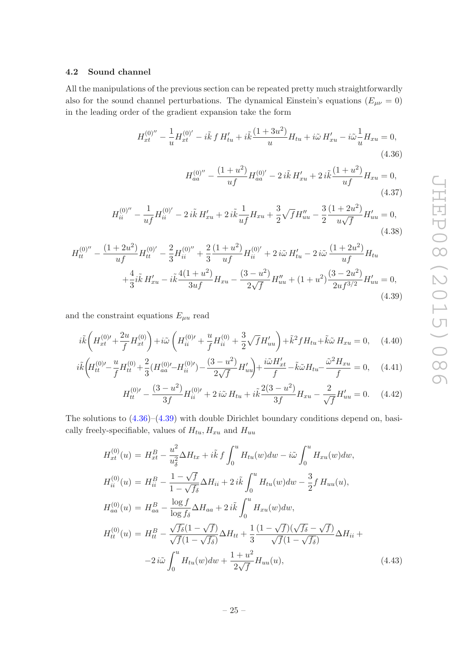#### <span id="page-26-0"></span>4.2 Sound channel

All the manipulations of the previous section can be repeated pretty much straightforwardly also for the sound channel perturbations. The dynamical Einstein's equations  $(E_{\mu\nu} = 0)$ in the leading order of the gradient expansion take the form

$$
H_{xt}^{(0)''} - \frac{1}{u} H_{xt}^{(0)'} - i\tilde{k} f H_{tu}' + i\tilde{k} \frac{(1+3u^2)}{u} H_{tu} + i\tilde{\omega} H_{xu}' - i\tilde{\omega} \frac{1}{u} H_{xu} = 0,
$$
\n(4.36)

<span id="page-26-3"></span><span id="page-26-2"></span><span id="page-26-1"></span>
$$
H_{aa}^{(0)''} - \frac{(1+u^2)}{uf}H_{aa}^{(0)'} - 2 i\tilde{k} H_{xu}' + 2 i\tilde{k}\frac{(1+u^2)}{uf}H_{xu} = 0,
$$
\n(4.37)

$$
H_{ii}^{(0)''} - \frac{1}{uf} H_{ii}^{(0)'} - 2 i\tilde{k} H_{xu}' + 2 i\tilde{k} \frac{1}{uf} H_{xu} + \frac{3}{2} \sqrt{f} H_{uu}'' - \frac{3}{2} \frac{(1+2u^2)}{u\sqrt{f}} H_{uu}' = 0,
$$
\n(4.38)

$$
H_{tt}^{(0)''} - \frac{(1+2u^2)}{uf}H_{tt}^{(0)'} - \frac{2}{3}H_{ii}^{(0)''} + \frac{2}{3}\frac{(1+u^2)}{uf}H_{ii}^{(0)'} + 2i\tilde{\omega}H_{tu}' - 2i\tilde{\omega}\frac{(1+2u^2)}{uf}H_{tu}
$$
  
 
$$
+ \frac{4}{3}i\tilde{k}H_{xu}' - i\tilde{k}\frac{4(1+u^2)}{3uf}H_{xu} - \frac{(3-u^2)}{2\sqrt{f}}H_{uu}'' + (1+u^2)\frac{(3-2u^2)}{2uf^{3/2}}H_{uu}' = 0,
$$
  
(4.39)

and the constraint equations  $E_{\mu u}$  read

$$
i\tilde{k}\left(H_{xt}^{(0)\prime} + \frac{2u}{f}H_{xt}^{(0)}\right) + i\tilde{\omega}\left(H_{ii}^{(0)\prime} + \frac{u}{f}H_{ii}^{(0)} + \frac{3}{2}\sqrt{f}H_{uu}'\right) + \tilde{k}^2fH_{tu} + \tilde{k}\tilde{\omega}H_{xu} = 0, \quad (4.40)
$$

$$
i\tilde{k}\left(H_{tt}^{(0)\prime} - \frac{u}{f}H_{tt}^{(0)} + \frac{2}{3}(H_{aa}^{(0)\prime} - H_{ii}^{(0)\prime}) - \frac{(3 - u^2)}{2\sqrt{f}}H_{uu}'\right) + \frac{i\tilde{\omega}H_{xt}'}{f} - \tilde{k}\tilde{\omega}H_{tu} - \frac{\tilde{\omega}^2H_{xu}}{f} = 0, \quad (4.41)
$$

<span id="page-26-4"></span>
$$
H_{tt}^{(0)\prime} - \frac{(3 - u^2)}{3f} H_{ii}^{(0)\prime} + 2 i \tilde{\omega} H_{tu} + i \tilde{k} \frac{2(3 - u^2)}{3f} H_{xu} - \frac{2}{\sqrt{f}} H_{uu}' = 0. \quad (4.42)
$$

The solutions to [\(4.36\)](#page-26-1)–[\(4.39\)](#page-26-2) with double Dirichlet boundary conditions depend on, basically freely-specifiable, values of  $H_{tu}$ ,  $H_{xu}$  and  $H_{uu}$ 

$$
H_{xt}^{(0)}(u) = H_{xt}^{B} - \frac{u^{2}}{u_{\delta}^{2}} \Delta H_{tx} + i\tilde{k} f \int_{0}^{u} H_{tu}(w) dw - i\tilde{\omega} \int_{0}^{u} H_{xu}(w) dw,
$$
  
\n
$$
H_{ii}^{(0)}(u) = H_{ii}^{B} - \frac{1 - \sqrt{f}}{1 - \sqrt{f_{\delta}}} \Delta H_{ii} + 2 i\tilde{k} \int_{0}^{u} H_{tu}(w) dw - \frac{3}{2} f H_{uu}(u),
$$
  
\n
$$
H_{aa}^{(0)}(u) = H_{aa}^{B} - \frac{\log f}{\log f_{\delta}} \Delta H_{aa} + 2 i\tilde{k} \int_{0}^{u} H_{xu}(w) dw,
$$
  
\n
$$
H_{tt}^{(0)}(u) = H_{tt}^{B} - \frac{\sqrt{f_{\delta}(1 - \sqrt{f})}}{\sqrt{f}(1 - \sqrt{f_{\delta}})} \Delta H_{tt} + \frac{1}{3} \frac{(1 - \sqrt{f})(\sqrt{f_{\delta}} - \sqrt{f})}{\sqrt{f}(1 - \sqrt{f_{\delta}})} \Delta H_{ii} +
$$
  
\n
$$
-2 i\tilde{\omega} \int_{0}^{u} H_{tu}(w) dw + \frac{1 + u^{2}}{2\sqrt{f}} H_{uu}(u), \qquad (4.43)
$$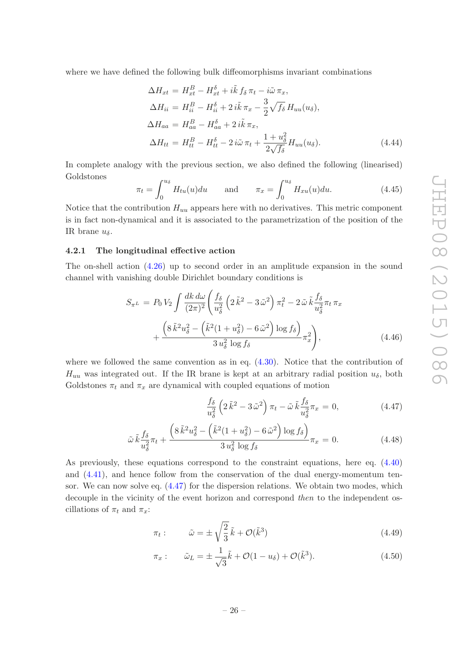where we have defined the following bulk diffeomorphisms invariant combinations

$$
\Delta H_{xt} = H_{xt}^B - H_{xt}^\delta + i\tilde{k} f_\delta \pi_t - i\tilde{\omega} \pi_x,
$$
  
\n
$$
\Delta H_{ii} = H_{ii}^B - H_{ii}^\delta + 2 i\tilde{k} \pi_x - \frac{3}{2} \sqrt{f_\delta} H_{uu}(u_\delta),
$$
  
\n
$$
\Delta H_{aa} = H_{aa}^B - H_{aa}^\delta + 2 i\tilde{k} \pi_x,
$$
  
\n
$$
\Delta H_{tt} = H_{tt}^B - H_{tt}^\delta - 2 i\tilde{\omega} \pi_t + \frac{1 + u_\delta^2}{2\sqrt{f_\delta}} H_{uu}(u_\delta).
$$
\n(4.44)

In complete analogy with the previous section, we also defined the following (linearised) Goldstones

$$
\pi_t = \int_0^{u_\delta} H_{tu}(u) du \quad \text{and} \quad \pi_x = \int_0^{u_\delta} H_{xu}(u) du. \tag{4.45}
$$

Notice that the contribution  $H_{uu}$  appears here with no derivatives. This metric component is in fact non-dynamical and it is associated to the parametrization of the position of the IR brane  $u_{\delta}$ .

#### <span id="page-27-0"></span>4.2.1 The longitudinal effective action

The on-shell action [\(4.26\)](#page-24-1) up to second order in an amplitude expansion in the sound channel with vanishing double Dirichlet boundary conditions is

<span id="page-27-2"></span>
$$
S_{\pi L} = P_0 V_2 \int \frac{dk \, d\omega}{(2\pi)^2} \left( \frac{f_\delta}{u_\delta^2} \left( 2\,\tilde{k}^2 - 3\,\tilde{\omega}^2 \right) \pi_t^2 - 2\,\tilde{\omega}\,\tilde{k} \frac{f_\delta}{u_\delta^2} \pi_t \,\pi_x + \frac{\left( 8\,\tilde{k}^2 u_\delta^2 - \left( \tilde{k}^2 (1 + u_\delta^2) - 6\,\tilde{\omega}^2 \right) \log f_\delta \right)}{3\,u_\delta^2 \log f_\delta} \pi_x^2 \right),
$$
(4.46)

where we followed the same convention as in eq.  $(4.30)$ . Notice that the contribution of  $H_{uu}$  was integrated out. If the IR brane is kept at an arbitrary radial position  $u_{\delta}$ , both Goldstones  $\pi_t$  and  $\pi_x$  are dynamical with coupled equations of motion

<span id="page-27-3"></span><span id="page-27-1"></span>
$$
\frac{f_{\delta}}{u_{\delta}^2} \left(2\,\tilde{k}^2 - 3\,\tilde{\omega}^2\right)\pi_t - \tilde{\omega}\,\tilde{k}\frac{f_{\delta}}{u_{\delta}^2}\pi_x = 0,\tag{4.47}
$$

$$
\tilde{\omega}\,\tilde{k}\frac{f_{\delta}}{u_{\delta}^{2}}\pi_{t} + \frac{\left(8\,\tilde{k}^{2}u_{\delta}^{2} - \left(\tilde{k}^{2}(1+u_{\delta}^{2}) - 6\,\tilde{\omega}^{2}\right)\log f_{\delta}\right)}{3\,u_{\delta}^{2}\log f_{\delta}}\pi_{x} = 0.
$$
\n(4.48)

As previously, these equations correspond to the constraint equations, here eq. [\(4.40\)](#page-26-3) and [\(4.41\)](#page-26-4), and hence follow from the conservation of the dual energy-momentum tensor. We can now solve eq. [\(4.47\)](#page-27-1) for the dispersion relations. We obtain two modes, which decouple in the vicinity of the event horizon and correspond then to the independent oscillations of  $\pi_t$  and  $\pi_x$ :

$$
\pi_t: \qquad \tilde{\omega} = \pm \sqrt{\frac{2}{3}} \tilde{k} + \mathcal{O}(\tilde{k}^3)
$$
\n
$$
\tag{4.49}
$$

$$
\pi_x: \quad \tilde{\omega}_L = \pm \frac{1}{\sqrt{3}} \tilde{k} + \mathcal{O}(1 - u_\delta) + \mathcal{O}(\tilde{k}^3). \tag{4.50}
$$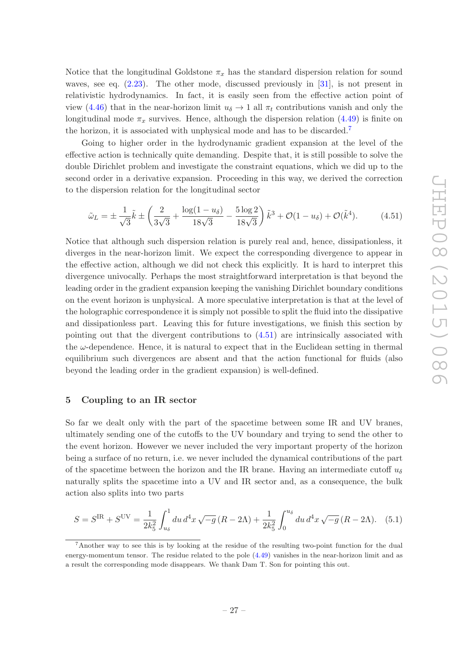Notice that the longitudinal Goldstone  $\pi_x$  has the standard dispersion relation for sound waves, see eq. [\(2.23\)](#page-11-2). The other mode, discussed previously in [\[31\]](#page-36-16), is not present in relativistic hydrodynamics. In fact, it is easily seen from the effective action point of view [\(4.46\)](#page-27-2) that in the near-horizon limit  $u_{\delta} \to 1$  all  $\pi_t$  contributions vanish and only the longitudinal mode  $\pi_x$  survives. Hence, although the dispersion relation [\(4.49\)](#page-27-3) is finite on the horizon, it is associated with unphysical mode and has to be discarded.<sup>[7](#page-28-1)</sup>

Going to higher order in the hydrodynamic gradient expansion at the level of the effective action is technically quite demanding. Despite that, it is still possible to solve the double Dirichlet problem and investigate the constraint equations, which we did up to the second order in a derivative expansion. Proceeding in this way, we derived the correction to the dispersion relation for the longitudinal sector

<span id="page-28-2"></span>
$$
\tilde{\omega}_L = \pm \frac{1}{\sqrt{3}} \tilde{k} \pm \left( \frac{2}{3\sqrt{3}} + \frac{\log(1 - u_\delta)}{18\sqrt{3}} - \frac{5\log 2}{18\sqrt{3}} \right) \tilde{k}^3 + \mathcal{O}(1 - u_\delta) + \mathcal{O}(\tilde{k}^4). \tag{4.51}
$$

Notice that although such dispersion relation is purely real and, hence, dissipationless, it diverges in the near-horizon limit. We expect the corresponding divergence to appear in the effective action, although we did not check this explicitly. It is hard to interpret this divergence univocally. Perhaps the most straightforward interpretation is that beyond the leading order in the gradient expansion keeping the vanishing Dirichlet boundary conditions on the event horizon is unphysical. A more speculative interpretation is that at the level of the holographic correspondence it is simply not possible to split the fluid into the dissipative and dissipationless part. Leaving this for future investigations, we finish this section by pointing out that the divergent contributions to [\(4.51\)](#page-28-2) are intrinsically associated with the  $\omega$ -dependence. Hence, it is natural to expect that in the Euclidean setting in thermal equilibrium such divergences are absent and that the action functional for fluids (also beyond the leading order in the gradient expansion) is well-defined.

## <span id="page-28-0"></span>5 Coupling to an IR sector

So far we dealt only with the part of the spacetime between some IR and UV branes, ultimately sending one of the cutoffs to the UV boundary and trying to send the other to the event horizon. However we never included the very important property of the horizon being a surface of no return, i.e. we never included the dynamical contributions of the part of the spacetime between the horizon and the IR brane. Having an intermediate cutoff  $u_{\delta}$ naturally splits the spacetime into a UV and IR sector and, as a consequence, the bulk action also splits into two parts

$$
S = S^{\text{IR}} + S^{\text{UV}} = \frac{1}{2k_5^2} \int_{u_\delta}^1 du \, d^4x \sqrt{-g} \left( R - 2\Lambda \right) + \frac{1}{2k_5^2} \int_0^{u_\delta} du \, d^4x \sqrt{-g} \left( R - 2\Lambda \right). \tag{5.1}
$$

<span id="page-28-1"></span><sup>&</sup>lt;sup>7</sup>Another way to see this is by looking at the residue of the resulting two-point function for the dual energy-momentum tensor. The residue related to the pole [\(4.49\)](#page-27-3) vanishes in the near-horizon limit and as a result the corresponding mode disappears. We thank Dam T. Son for pointing this out.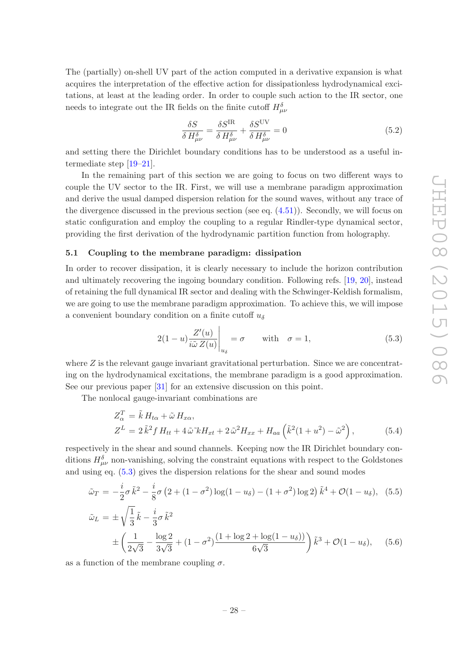The (partially) on-shell UV part of the action computed in a derivative expansion is what acquires the interpretation of the effective action for dissipationless hydrodynamical excitations, at least at the leading order. In order to couple such action to the IR sector, one needs to integrate out the IR fields on the finite cutoff  $H^{\delta}_{\mu\nu}$ 

<span id="page-29-2"></span>
$$
\frac{\delta S}{\delta H^{\delta}_{\mu\nu}} = \frac{\delta S^{\text{IR}}}{\delta H^{\delta}_{\mu\nu}} + \frac{\delta S^{\text{UV}}}{\delta H^{\delta}_{\mu\nu}} = 0
$$
\n(5.2)

and setting there the Dirichlet boundary conditions has to be understood as a useful intermediate step [\[19](#page-36-6)[–21](#page-36-8)].

In the remaining part of this section we are going to focus on two different ways to couple the UV sector to the IR. First, we will use a membrane paradigm approximation and derive the usual damped dispersion relation for the sound waves, without any trace of the divergence discussed in the previous section (see eq.  $(4.51)$ ). Secondly, we will focus on static configuration and employ the coupling to a regular Rindler-type dynamical sector, providing the first derivation of the hydrodynamic partition function from holography.

#### <span id="page-29-0"></span>5.1 Coupling to the membrane paradigm: dissipation

In order to recover dissipation, it is clearly necessary to include the horizon contribution and ultimately recovering the ingoing boundary condition. Following refs. [\[19](#page-36-6), [20](#page-36-7)], instead of retaining the full dynamical IR sector and dealing with the Schwinger-Keldish formalism, we are going to use the membrane paradigm approximation. To achieve this, we will impose a convenient boundary condition on a finite cutoff  $u_{\delta}$ 

<span id="page-29-1"></span>
$$
2(1-u)\frac{Z'(u)}{i\tilde{\omega} Z(u)}\Big|_{u_{\delta}} = \sigma \quad \text{with} \quad \sigma = 1,
$$
\n(5.3)

where  $Z$  is the relevant gauge invariant gravitational perturbation. Since we are concentrating on the hydrodynamical excitations, the membrane paradigm is a good approximation. See our previous paper [\[31](#page-36-16)] for an extensive discussion on this point.

The nonlocal gauge-invariant combinations are

$$
Z_{\alpha}^{T} = \tilde{k} H_{t\alpha} + \tilde{\omega} H_{x\alpha},
$$
  
\n
$$
Z^{L} = 2\tilde{k}^{2} f H_{tt} + 4\tilde{\omega} \tilde{\kappa} H_{xt} + 2\tilde{\omega}^{2} H_{xx} + H_{aa} \left( \tilde{k}^{2} (1 + u^{2}) - \tilde{\omega}^{2} \right),
$$
\n(5.4)

respectively in the shear and sound channels. Keeping now the IR Dirichlet boundary conditions  $H^{\delta}_{\mu\nu}$  non-vanishing, solving the constraint equations with respect to the Goldstones and using eq. [\(5.3\)](#page-29-1) gives the dispersion relations for the shear and sound modes

$$
\tilde{\omega}_T = -\frac{i}{2}\sigma \tilde{k}^2 - \frac{i}{8}\sigma (2 + (1 - \sigma^2) \log(1 - u_\delta) - (1 + \sigma^2) \log 2) \tilde{k}^4 + \mathcal{O}(1 - u_\delta),
$$
 (5.5)  

$$
\tilde{\omega}_L = \pm \sqrt{\frac{1}{3}} \tilde{k} - \frac{i}{3}\sigma \tilde{k}^2
$$

$$
\pm \left(\frac{1}{2\sqrt{3}} - \frac{\log 2}{3\sqrt{3}} + (1 - \sigma^2) \frac{(1 + \log 2 + \log(1 - u_\delta))}{6\sqrt{3}}\right) \tilde{k}^3 + \mathcal{O}(1 - u_\delta),
$$
 (5.6)

as a function of the membrane coupling  $\sigma$ .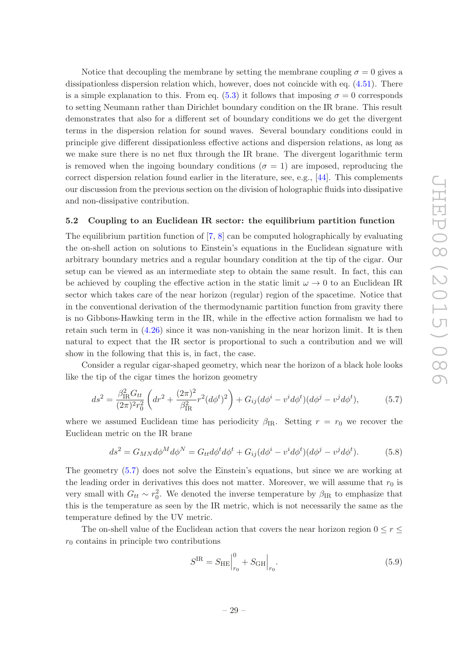Notice that decoupling the membrane by setting the membrane coupling  $\sigma = 0$  gives a dissipationless dispersion relation which, however, does not coincide with eq. [\(4.51\)](#page-28-2). There is a simple explanation to this. From eq. [\(5.3\)](#page-29-1) it follows that imposing  $\sigma = 0$  corresponds to setting Neumann rather than Dirichlet boundary condition on the IR brane. This result demonstrates that also for a different set of boundary conditions we do get the divergent terms in the dispersion relation for sound waves. Several boundary conditions could in principle give different dissipationless effective actions and dispersion relations, as long as we make sure there is no net flux through the IR brane. The divergent logarithmic term is removed when the ingoing boundary conditions ( $\sigma = 1$ ) are imposed, reproducing the correct dispersion relation found earlier in the literature, see, e.g., [\[44\]](#page-37-10). This complements our discussion from the previous section on the division of holographic fluids into dissipative and non-dissipative contribution.

#### <span id="page-30-0"></span>5.2 Coupling to an Euclidean IR sector: the equilibrium partition function

The equilibrium partition function of  $[7, 8]$  $[7, 8]$  can be computed holographically by evaluating the on-shell action on solutions to Einstein's equations in the Euclidean signature with arbitrary boundary metrics and a regular boundary condition at the tip of the cigar. Our setup can be viewed as an intermediate step to obtain the same result. In fact, this can be achieved by coupling the effective action in the static limit  $\omega \to 0$  to an Euclidean IR sector which takes care of the near horizon (regular) region of the spacetime. Notice that in the conventional derivation of the thermodynamic partition function from gravity there is no Gibbons-Hawking term in the IR, while in the effective action formalism we had to retain such term in [\(4.26\)](#page-24-1) since it was non-vanishing in the near horizon limit. It is then natural to expect that the IR sector is proportional to such a contribution and we will show in the following that this is, in fact, the case.

Consider a regular cigar-shaped geometry, which near the horizon of a black hole looks like the tip of the cigar times the horizon geometry

<span id="page-30-1"></span>
$$
ds^{2} = \frac{\beta_{\text{IR}}^{2} G_{tt}}{(2\pi)^{2} r_{0}^{2}} \left( dr^{2} + \frac{(2\pi)^{2}}{\beta_{\text{IR}}^{2}} r^{2} (d\phi^{t})^{2} \right) + G_{ij} (d\phi^{i} - v^{i} d\phi^{t}) (d\phi^{j} - v^{j} d\phi^{t}), \tag{5.7}
$$

where we assumed Euclidean time has periodicity  $\beta_{\text{IR}}$ . Setting  $r = r_0$  we recover the Euclidean metric on the IR brane

$$
ds^2 = G_{MN}d\phi^M d\phi^N = G_{tt}d\phi^t d\phi^t + G_{ij}(d\phi^i - v^i d\phi^t)(d\phi^j - v^j d\phi^t). \tag{5.8}
$$

The geometry [\(5.7\)](#page-30-1) does not solve the Einstein's equations, but since we are working at the leading order in derivatives this does not matter. Moreover, we will assume that  $r_0$  is very small with  $G_{tt} \sim r_0^2$ . We denoted the inverse temperature by  $\beta_{IR}$  to emphasize that this is the temperature as seen by the IR metric, which is not necessarily the same as the temperature defined by the UV metric.

The on-shell value of the Euclidean action that covers the near horizon region  $0 \le r \le$  $r_0$  contains in principle two contributions

$$
S^{\rm IR} = S_{\rm HE} \Big|_{r_0}^0 + S_{\rm GH} \Big|_{r_0}.
$$
\n(5.9)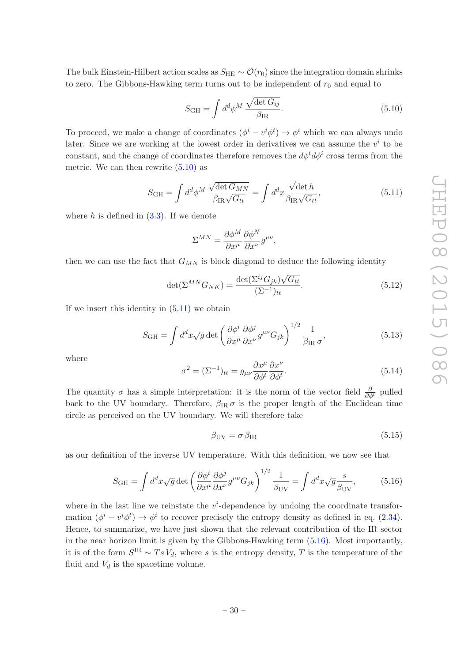The bulk Einstein-Hilbert action scales as  $S_{\text{HE}} \sim \mathcal{O}(r_0)$  since the integration domain shrinks to zero. The Gibbons-Hawking term turns out to be independent of  $r_0$  and equal to

<span id="page-31-0"></span>
$$
S_{\text{GH}} = \int d^d \phi^M \, \frac{\sqrt{\det G_{ij}}}{\beta_{\text{IR}}}.
$$
\n(5.10)

To proceed, we make a change of coordinates  $(\phi^i - v^i \phi^t) \rightarrow \phi^i$  which we can always undo later. Since we are working at the lowest order in derivatives we can assume the  $v^i$  to be constant, and the change of coordinates therefore removes the  $d\phi^t d\phi^i$  cross terms from the metric. We can then rewrite  $(5.10)$  as

<span id="page-31-1"></span>
$$
S_{\rm GH} = \int d^d \phi^M \, \frac{\sqrt{\det G_{MN}}}{\beta_{\rm IR} \sqrt{G_{tt}}} = \int d^d x \frac{\sqrt{\det h}}{\beta_{\rm IR} \sqrt{G_{tt}}},\tag{5.11}
$$

where h is defined in  $(3.3)$ . If we denote

$$
\Sigma^{MN} = \frac{\partial \phi^M}{\partial x^\mu} \frac{\partial \phi^N}{\partial x^\nu} g^{\mu\nu},
$$

then we can use the fact that  $G_{MN}$  is block diagonal to deduce the following identity

$$
\det(\Sigma^{MN}G_{NK}) = \frac{\det(\Sigma^{ij}G_{jk})\sqrt{G_{tt}}}{(\Sigma^{-1})_{tt}}.
$$
\n(5.12)

If we insert this identity in [\(5.11\)](#page-31-1) we obtain

$$
S_{\rm GH} = \int d^d x \sqrt{g} \det \left( \frac{\partial \phi^i}{\partial x^\mu} \frac{\partial \phi^j}{\partial x^\nu} g^{\mu\nu} G_{jk} \right)^{1/2} \frac{1}{\beta_{\rm IR} \sigma},\tag{5.13}
$$

where

$$
\sigma^2 = (\Sigma^{-1})_{tt} = g_{\mu\nu} \frac{\partial x^{\mu}}{\partial \phi^t} \frac{\partial x^{\nu}}{\partial \phi^t}.
$$
\n(5.14)

The quantity  $\sigma$  has a simple interpretation: it is the norm of the vector field  $\frac{\partial}{\partial \phi^t}$  pulled back to the UV boundary. Therefore,  $\beta_{\text{IR}}\sigma$  is the proper length of the Euclidean time circle as perceived on the UV boundary. We will therefore take

$$
\beta_{\rm UV} = \sigma \,\beta_{\rm IR} \tag{5.15}
$$

as our definition of the inverse UV temperature. With this definition, we now see that

<span id="page-31-2"></span>
$$
S_{\rm GH} = \int d^d x \sqrt{g} \det \left( \frac{\partial \phi^i}{\partial x^\mu} \frac{\partial \phi^j}{\partial x^\nu} g^{\mu \nu} G_{jk} \right)^{1/2} \frac{1}{\beta_{\rm UV}} = \int d^d x \sqrt{g} \frac{s}{\beta_{\rm UV}},\tag{5.16}
$$

where in the last line we reinstate the  $v^i$ -dependence by undoing the coordinate transformation  $(\phi^i - v^i \phi^t) \to \phi^i$  to recover precisely the entropy density as defined in eq. [\(2.34\)](#page-12-1). Hence, to summarize, we have just shown that the relevant contribution of the IR sector in the near horizon limit is given by the Gibbons-Hawking term [\(5.16\)](#page-31-2). Most importantly, it is of the form  $S^{IR} \sim TsV_d$ , where s is the entropy density, T is the temperature of the fluid and  $V_d$  is the spacetime volume.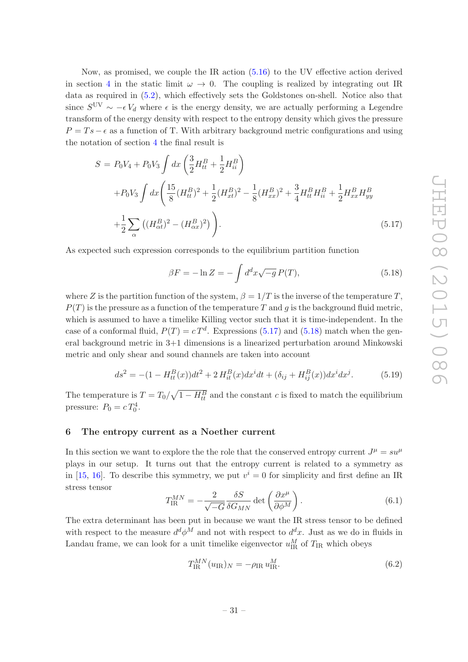Now, as promised, we couple the IR action [\(5.16\)](#page-31-2) to the UV effective action derived in section [4](#page-20-1) in the static limit  $\omega \to 0$ . The coupling is realized by integrating out IR data as required in [\(5.2\)](#page-29-2), which effectively sets the Goldstones on-shell. Notice also that since  $S^{\text{UV}} \sim -\epsilon V_d$  where  $\epsilon$  is the energy density, we are actually performing a Legendre transform of the energy density with respect to the entropy density which gives the pressure  $P = Ts - \epsilon$  as a function of T. With arbitrary background metric configurations and using the notation of section [4](#page-20-1) the final result is

<span id="page-32-1"></span>
$$
S = P_0 V_4 + P_0 V_3 \int dx \left(\frac{3}{2} H_{tt}^B + \frac{1}{2} H_{ii}^B\right)
$$
  
+
$$
P_0 V_3 \int dx \left(\frac{15}{8} (H_{tt}^B)^2 + \frac{1}{2} (H_{xt}^B)^2 - \frac{1}{8} (H_{xx}^B)^2 + \frac{3}{4} H_{tt}^B H_{ii}^B + \frac{1}{2} H_{xx}^B H_{yy}^B
$$
  
+
$$
\frac{1}{2} \sum_{\alpha} \left( (H_{\alpha t}^B)^2 - (H_{\alpha x}^B)^2 \right) \right).
$$
(5.17)

As expected such expression corresponds to the equilibrium partition function

<span id="page-32-2"></span>
$$
\beta F = -\ln Z = -\int d^d x \sqrt{-g} \, P(T), \tag{5.18}
$$

where Z is the partition function of the system,  $\beta = 1/T$  is the inverse of the temperature T,  $P(T)$  is the pressure as a function of the temperature T and g is the background fluid metric, which is assumed to have a timelike Killing vector such that it is time-independent. In the case of a conformal fluid,  $P(T) = cT<sup>d</sup>$ . Expressions [\(5.17\)](#page-32-1) and [\(5.18\)](#page-32-2) match when the general background metric in 3+1 dimensions is a linearized perturbation around Minkowski metric and only shear and sound channels are taken into account

$$
ds^{2} = -(1 - H_{tt}^{B}(x))dt^{2} + 2H_{it}^{B}(x)dx^{i}dt + (\delta_{ij} + H_{ij}^{B}(x))dx^{i}dx^{j}.
$$
 (5.19)

The temperature is  $T = T_0 / \sqrt{1 - H_{tt}^B}$  and the constant c is fixed to match the equilibrium pressure:  $P_0 = c T_0^4$ .

#### <span id="page-32-0"></span>6 The entropy current as a Noether current

In this section we want to explore the the role that the conserved entropy current  $J^{\mu} = s u^{\mu}$ plays in our setup. It turns out that the entropy current is related to a symmetry as in [\[15](#page-36-2), [16\]](#page-36-3). To describe this symmetry, we put  $v^i = 0$  for simplicity and first define an IR stress tensor

<span id="page-32-3"></span>
$$
T_{\rm IR}^{MN} = -\frac{2}{\sqrt{-G}} \frac{\delta S}{\delta G_{MN}} \det \left( \frac{\partial x^{\mu}}{\partial \phi^M} \right). \tag{6.1}
$$

The extra determinant has been put in because we want the IR stress tensor to be defined with respect to the measure  $d^d\phi^M$  and not with respect to  $d^dx$ . Just as we do in fluids in Landau frame, we can look for a unit timelike eigenvector  $u_{\text{IR}}^M$  of  $T_{\text{IR}}$  which obeys

<span id="page-32-4"></span>
$$
T_{\rm IR}^{MN}(u_{\rm IR})_N = -\rho_{\rm IR} u_{\rm IR}^M.
$$
\n(6.2)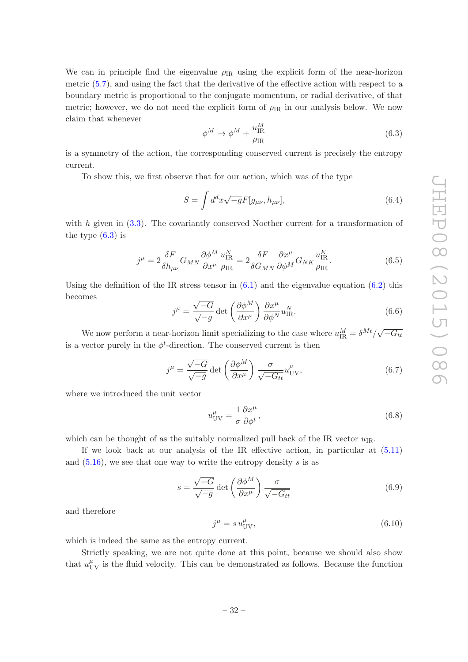We can in principle find the eigenvalue  $\rho_{IR}$  using the explicit form of the near-horizon metric [\(5.7\)](#page-30-1), and using the fact that the derivative of the effective action with respect to a boundary metric is proportional to the conjugate momentum, or radial derivative, of that metric; however, we do not need the explicit form of  $\rho_{IR}$  in our analysis below. We now claim that whenever

<span id="page-33-0"></span>
$$
\phi^M \to \phi^M + \frac{u_{\text{IR}}^M}{\rho_{\text{IR}}} \tag{6.3}
$$

is a symmetry of the action, the corresponding conserved current is precisely the entropy current.

To show this, we first observe that for our action, which was of the type

<span id="page-33-1"></span>
$$
S = \int d^d x \sqrt{-g} F[g_{\mu\nu}, h_{\mu\nu}], \qquad (6.4)
$$

with  $h$  given in  $(3.3)$ . The covariantly conserved Noether current for a transformation of the type  $(6.3)$  is

$$
j^{\mu} = 2 \frac{\delta F}{\delta h_{\mu\nu}} G_{MN} \frac{\partial \phi^M}{\partial x^{\nu}} \frac{u_{\text{IR}}^N}{\rho_{\text{IR}}} = 2 \frac{\delta F}{\delta G_{MN}} \frac{\partial x^{\mu}}{\partial \phi^M} G_{NK} \frac{u_{\text{IR}}^K}{\rho_{\text{IR}}}.
$$
(6.5)

Using the definition of the IR stress tensor in  $(6.1)$  and the eigenvalue equation  $(6.2)$  this becomes

$$
j^{\mu} = \frac{\sqrt{-G}}{\sqrt{-g}} \det \left( \frac{\partial \phi^M}{\partial x^{\mu}} \right) \frac{\partial x^{\mu}}{\partial \phi^N} u_{\text{IR}}^N. \tag{6.6}
$$

We now perform a near-horizon limit specializing to the case where  $u_{\rm IR}^M = \delta^{Mt}/\sqrt{-G_{tt}}$ is a vector purely in the  $\phi^t$ -direction. The conserved current is then

$$
j^{\mu} = \frac{\sqrt{-G}}{\sqrt{-g}} \det \left(\frac{\partial \phi^M}{\partial x^{\mu}}\right) \frac{\sigma}{\sqrt{-G_{tt}}} u_{\text{UV}}^{\mu},\tag{6.7}
$$

where we introduced the unit vector

$$
u_{\text{UV}}^{\mu} = \frac{1}{\sigma} \frac{\partial x^{\mu}}{\partial \phi^t},\tag{6.8}
$$

which can be thought of as the suitably normalized pull back of the IR vector  $u_{\text{IR}}$ .

If we look back at our analysis of the IR effective action, in particular at [\(5.11\)](#page-31-1) and  $(5.16)$ , we see that one way to write the entropy density s is as

$$
s = \frac{\sqrt{-G}}{\sqrt{-g}} \det \left(\frac{\partial \phi^M}{\partial x^\mu}\right) \frac{\sigma}{\sqrt{-G_{tt}}} \tag{6.9}
$$

and therefore

<span id="page-33-2"></span>
$$
j^{\mu} = s u_{\text{UV}}^{\mu},\tag{6.10}
$$

which is indeed the same as the entropy current.

Strictly speaking, we are not quite done at this point, because we should also show that  $u_{\text{UV}}^{\mu}$  is the fluid velocity. This can be demonstrated as follows. Because the function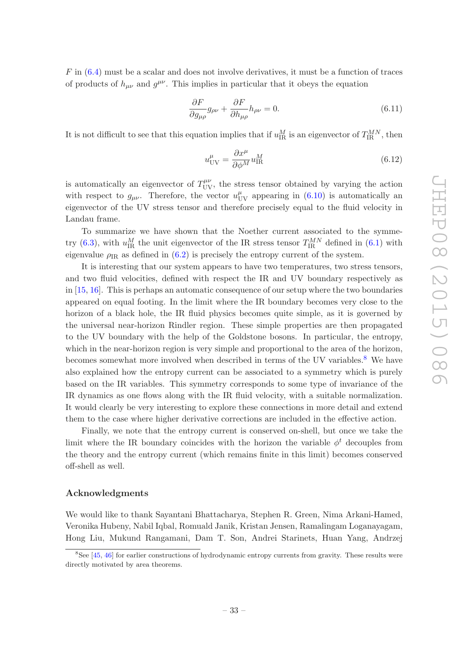$F$  in  $(6.4)$  must be a scalar and does not involve derivatives, it must be a function of traces of products of  $h_{\mu\nu}$  and  $g^{\mu\nu}$ . This implies in particular that it obeys the equation

$$
\frac{\partial F}{\partial g_{\mu\rho}}g_{\rho\nu} + \frac{\partial F}{\partial h_{\mu\rho}}h_{\rho\nu} = 0.
$$
\n(6.11)

It is not difficult to see that this equation implies that if  $u_{\text{IR}}^M$  is an eigenvector of  $T_{\text{IR}}^{MN}$ , then

$$
u_{\text{UV}}^{\mu} = \frac{\partial x^{\mu}}{\partial \phi^M} u_{\text{IR}}^M \tag{6.12}
$$

is automatically an eigenvector of  $T_{\rm UV}^{\mu\nu}$ , the stress tensor obtained by varying the action with respect to  $g_{\mu\nu}$ . Therefore, the vector  $u_{\text{UV}}^{\mu}$  appearing in [\(6.10\)](#page-33-2) is automatically an eigenvector of the UV stress tensor and therefore precisely equal to the fluid velocity in Landau frame.

To summarize we have shown that the Noether current associated to the symme-try [\(6.3\)](#page-33-0), with  $u_{\text{IR}}^M$  the unit eigenvector of the IR stress tensor  $T_{\text{IR}}^{MN}$  defined in [\(6.1\)](#page-32-3) with eigenvalue  $\rho_{\rm IR}$  as defined in [\(6.2\)](#page-32-4) is precisely the entropy current of the system.

It is interesting that our system appears to have two temperatures, two stress tensors, and two fluid velocities, defined with respect the IR and UV boundary respectively as in [\[15,](#page-36-2) [16](#page-36-3)]. This is perhaps an automatic consequence of our setup where the two boundaries appeared on equal footing. In the limit where the IR boundary becomes very close to the horizon of a black hole, the IR fluid physics becomes quite simple, as it is governed by the universal near-horizon Rindler region. These simple properties are then propagated to the UV boundary with the help of the Goldstone bosons. In particular, the entropy, which in the near-horizon region is very simple and proportional to the area of the horizon, becomes somewhat more involved when described in terms of the UV variables.<sup>[8](#page-34-0)</sup> We have also explained how the entropy current can be associated to a symmetry which is purely based on the IR variables. This symmetry corresponds to some type of invariance of the IR dynamics as one flows along with the IR fluid velocity, with a suitable normalization. It would clearly be very interesting to explore these connections in more detail and extend them to the case where higher derivative corrections are included in the effective action.

Finally, we note that the entropy current is conserved on-shell, but once we take the limit where the IR boundary coincides with the horizon the variable  $\phi^t$  decouples from the theory and the entropy current (which remains finite in this limit) becomes conserved off-shell as well.

#### Acknowledgments

We would like to thank Sayantani Bhattacharya, Stephen R. Green, Nima Arkani-Hamed, Veronika Hubeny, Nabil Iqbal, Romuald Janik, Kristan Jensen, Ramalingam Loganayagam, Hong Liu, Mukund Rangamani, Dam T. Son, Andrei Starinets, Huan Yang, Andrzej

<span id="page-34-0"></span> $8$ See [\[45,](#page-37-11) [46](#page-37-12)] for earlier constructions of hydrodynamic entropy currents from gravity. These results were directly motivated by area theorems.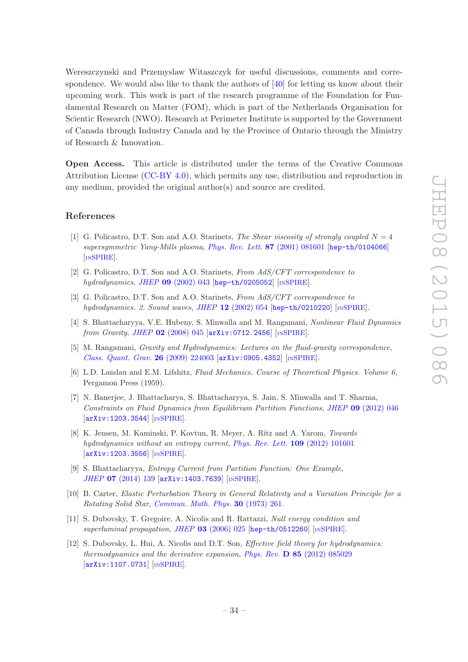Wereszczynski and Przemyslaw Witaszczyk for useful discussions, comments and correspondence. We would also like to thank the authors of [\[40](#page-37-6)] for letting us know about their upcoming work. This work is part of the research programme of the Foundation for Fundamental Research on Matter (FOM), which is part of the Netherlands Organisation for Scientic Research (NWO). Research at Perimeter Institute is supported by the Government of Canada through Industry Canada and by the Province of Ontario through the Ministry of Research & Innovation.

Open Access. This article is distributed under the terms of the Creative Commons Attribution License [\(CC-BY 4.0\)](http://creativecommons.org/licenses/by/4.0/), which permits any use, distribution and reproduction in any medium, provided the original author(s) and source are credited.

#### References

- <span id="page-35-0"></span>[1] G. Policastro, D.T. Son and A.O. Starinets, The Shear viscosity of strongly coupled  $N = 4$ supersymmetric Yang-Mills plasma, [Phys. Rev. Lett.](http://dx.doi.org/10.1103/PhysRevLett.87.081601) 87 (2001) 081601 [[hep-th/0104066](http://arxiv.org/abs/hep-th/0104066)] [IN[SPIRE](http://inspirehep.net/search?p=find+EPRINT+hep-th/0104066)].
- [2] G. Policastro, D.T. Son and A.O. Starinets, From AdS/CFT correspondence to hydrodynamics, JHEP 09 [\(2002\) 043](http://dx.doi.org/10.1088/1126-6708/2002/09/043) [[hep-th/0205052](http://arxiv.org/abs/hep-th/0205052)] [IN[SPIRE](http://inspirehep.net/search?p=find+EPRINT+hep-th/0205052)].
- <span id="page-35-1"></span>[3] G. Policastro, D.T. Son and A.O. Starinets, From AdS/CFT correspondence to hydrodynamics. 2. Sound waves, JHEP 12 [\(2002\) 054](http://dx.doi.org/10.1088/1126-6708/2002/12/054) [[hep-th/0210220](http://arxiv.org/abs/hep-th/0210220)] [IN[SPIRE](http://inspirehep.net/search?p=find+EPRINT+hep-th/0210220)].
- <span id="page-35-2"></span>[4] S. Bhattacharyya, V.E. Hubeny, S. Minwalla and M. Rangamani, Nonlinear Fluid Dynamics from Gravity, JHEP  $02$  [\(2008\) 045](http://dx.doi.org/10.1088/1126-6708/2008/02/045)  $\text{arXiv:0712.2456}$  $\text{arXiv:0712.2456}$  $\text{arXiv:0712.2456}$  [IN[SPIRE](http://inspirehep.net/search?p=find+EPRINT+arXiv:0712.2456)].
- <span id="page-35-3"></span>[5] M. Rangamani, Gravity and Hydrodynamics: Lectures on the fluid-gravity correspondence, [Class. Quant. Grav.](http://dx.doi.org/10.1088/0264-9381/26/22/224003) 26 (2009) 224003 [[arXiv:0905.4352](http://arxiv.org/abs/0905.4352)] [IN[SPIRE](http://inspirehep.net/search?p=find+EPRINT+arXiv:0905.4352)].
- <span id="page-35-4"></span>[6] L.D. Landau and E.M. Lifshitz, Fluid Mechanics. Course of Theoretical Physics. Volume 6, Pergamon Press (1959).
- <span id="page-35-5"></span>[7] N. Banerjee, J. Bhattacharya, S. Bhattacharyya, S. Jain, S. Minwalla and T. Sharma, Constraints on Fluid Dynamics from Equilibrium Partition Functions, JHEP 09 [\(2012\) 046](http://dx.doi.org/10.1007/JHEP09(2012)046) [[arXiv:1203.3544](http://arxiv.org/abs/1203.3544)] [IN[SPIRE](http://inspirehep.net/search?p=find+EPRINT+arXiv:1203.3544)].
- <span id="page-35-6"></span>[8] K. Jensen, M. Kaminski, P. Kovtun, R. Meyer, A. Ritz and A. Yarom, Towards hydrodynamics without an entropy current, [Phys. Rev. Lett.](http://dx.doi.org/10.1103/PhysRevLett.109.101601) 109 (2012) 101601 [[arXiv:1203.3556](http://arxiv.org/abs/1203.3556)] [IN[SPIRE](http://inspirehep.net/search?p=find+EPRINT+arXiv:1203.3556)].
- <span id="page-35-7"></span>[9] S. Bhattacharyya, Entropy Current from Partition Function: One Example, JHEP 07 [\(2014\) 139](http://dx.doi.org/10.1007/JHEP07(2014)139) [[arXiv:1403.7639](http://arxiv.org/abs/1403.7639)] [IN[SPIRE](http://inspirehep.net/search?p=find+EPRINT+arXiv:1403.7639)].
- <span id="page-35-8"></span>[10] B. Carter, Elastic Perturbation Theory in General Relativity and a Variation Principle for a Rotating Solid Star, [Commun. Math. Phys.](http://dx.doi.org/10.1007/BF01645505) 30 (1973) 261.
- <span id="page-35-9"></span>[11] S. Dubovsky, T. Gregoire, A. Nicolis and R. Rattazzi, Null energy condition and superluminal propagation, JHEP 03 [\(2006\) 025](http://dx.doi.org/10.1088/1126-6708/2006/03/025) [[hep-th/0512260](http://arxiv.org/abs/hep-th/0512260)] [IN[SPIRE](http://inspirehep.net/search?p=find+EPRINT+hep-th/0512260)].
- <span id="page-35-10"></span>[12] S. Dubovsky, L. Hui, A. Nicolis and D.T. Son, *Effective field theory for hydrodynamics:* thermodynamics and the derivative expansion, Phys. Rev.  $\bf{D}$  85 [\(2012\) 085029](http://dx.doi.org/10.1103/PhysRevD.85.085029)  $\left[$ [arXiv:1107.0731](http://arxiv.org/abs/1107.0731) $\right]$   $\left[$ <sub>IN[SPIRE](http://inspirehep.net/search?p=find+EPRINT+arXiv:1107.0731)</sub> $\right]$ .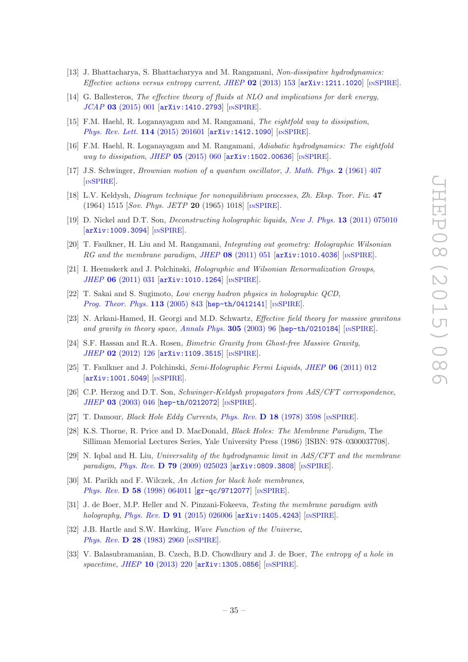- <span id="page-36-0"></span>[13] J. Bhattacharya, S. Bhattacharyya and M. Rangamani, Non-dissipative hydrodynamics: Effective actions versus entropy current, JHEP  $02$  [\(2013\) 153](http://dx.doi.org/10.1007/JHEP02(2013)153)  $\text{arXiv:1211.1020}$  $\text{arXiv:1211.1020}$  $\text{arXiv:1211.1020}$  [IN[SPIRE](http://inspirehep.net/search?p=find+EPRINT+arXiv:1211.1020)].
- <span id="page-36-1"></span>[14] G. Ballesteros, The effective theory of fluids at NLO and implications for dark energy, JCAP 03 [\(2015\) 001](http://dx.doi.org/10.1088/1475-7516/2015/03/001) [[arXiv:1410.2793](http://arxiv.org/abs/1410.2793)] [IN[SPIRE](http://inspirehep.net/search?p=find+EPRINT+arXiv:1410.2793)].
- <span id="page-36-2"></span>[15] F.M. Haehl, R. Loganayagam and M. Rangamani, The eightfold way to dissipation, [Phys. Rev. Lett.](http://dx.doi.org/10.1103/PhysRevLett.114.201601) 114 (2015) 201601 [[arXiv:1412.1090](http://arxiv.org/abs/1412.1090)] [IN[SPIRE](http://inspirehep.net/search?p=find+EPRINT+arXiv:1412.1090)].
- <span id="page-36-3"></span>[16] F.M. Haehl, R. Loganayagam and M. Rangamani, Adiabatic hydrodynamics: The eightfold way to dissipation, JHEP  $05$  [\(2015\) 060](http://dx.doi.org/10.1007/JHEP05(2015)060)  $\text{arXiv:1502.00636}$  $\text{arXiv:1502.00636}$  $\text{arXiv:1502.00636}$  [IN[SPIRE](http://inspirehep.net/search?p=find+EPRINT+arXiv:1502.00636)].
- <span id="page-36-4"></span>[17] J.S. Schwinger, Brownian motion of a quantum oscillator, [J. Math. Phys.](http://dx.doi.org/10.1063/1.1703727) 2 (1961) 407 [IN[SPIRE](http://inspirehep.net/search?p=find+J+J.Math.Phys.,2,407)].
- <span id="page-36-5"></span>[18] L.V. Keldysh, Diagram technique for nonequilibrium processes, Zh. Eksp. Teor. Fiz. 47 (1964) 1515 [Sov. Phys. JETP 20 (1965) 1018] [IN[SPIRE](http://inspirehep.net/search?p=find+J+Zh.Eksp.Teor.Fiz.,47,1515)].
- <span id="page-36-6"></span>[19] D. Nickel and D.T. Son, Deconstructing holographic liquids, New J. Phys. 13 [\(2011\) 075010](http://dx.doi.org/10.1088/1367-2630/13/7/075010) [[arXiv:1009.3094](http://arxiv.org/abs/1009.3094)] [IN[SPIRE](http://inspirehep.net/search?p=find+EPRINT+arXiv:1009.3094)].
- <span id="page-36-7"></span>[20] T. Faulkner, H. Liu and M. Rangamani, Integrating out geometry: Holographic Wilsonian RG and the membrane paradigm, JHEP  $\overline{08}$  [\(2011\) 051](http://dx.doi.org/10.1007/JHEP08(2011)051) [[arXiv:1010.4036](http://arxiv.org/abs/1010.4036)] [IN[SPIRE](http://inspirehep.net/search?p=find+EPRINT+arXiv:1010.4036)].
- <span id="page-36-8"></span>[21] I. Heemskerk and J. Polchinski, Holographic and Wilsonian Renormalization Groups, JHEP 06 [\(2011\) 031](http://dx.doi.org/10.1007/JHEP06(2011)031) [[arXiv:1010.1264](http://arxiv.org/abs/1010.1264)] [IN[SPIRE](http://inspirehep.net/search?p=find+EPRINT+arXiv:1010.1264)].
- <span id="page-36-11"></span>[22] T. Sakai and S. Sugimoto, Low energy hadron physics in holographic QCD, [Prog. Theor. Phys.](http://dx.doi.org/10.1143/PTP.113.843) 113 (2005) 843 [[hep-th/0412141](http://arxiv.org/abs/hep-th/0412141)] [IN[SPIRE](http://inspirehep.net/search?p=find+EPRINT+hep-th/0412141)].
- <span id="page-36-9"></span>[23] N. Arkani-Hamed, H. Georgi and M.D. Schwartz, Effective field theory for massive gravitons and gravity in theory space, [Annals Phys.](http://dx.doi.org/10.1016/S0003-4916(03)00068-X) 305 (2003) 96 [[hep-th/0210184](http://arxiv.org/abs/hep-th/0210184)] [IN[SPIRE](http://inspirehep.net/search?p=find+EPRINT+hep-th/0210184)].
- <span id="page-36-10"></span>[24] S.F. Hassan and R.A. Rosen, Bimetric Gravity from Ghost-free Massive Gravity, JHEP 02 [\(2012\) 126](http://dx.doi.org/10.1007/JHEP02(2012)126) [[arXiv:1109.3515](http://arxiv.org/abs/1109.3515)] [IN[SPIRE](http://inspirehep.net/search?p=find+EPRINT+arXiv:1109.3515)].
- <span id="page-36-12"></span>[25] T. Faulkner and J. Polchinski, Semi-Holographic Fermi Liquids, JHEP 06 [\(2011\) 012](http://dx.doi.org/10.1007/JHEP06(2011)012) [[arXiv:1001.5049](http://arxiv.org/abs/1001.5049)] [IN[SPIRE](http://inspirehep.net/search?p=find+EPRINT+arXiv:1001.5049)].
- <span id="page-36-13"></span>[26] C.P. Herzog and D.T. Son, Schwinger-Keldysh propagators from AdS/CFT correspondence, JHEP 03 [\(2003\) 046](http://dx.doi.org/10.1088/1126-6708/2003/03/046) [[hep-th/0212072](http://arxiv.org/abs/hep-th/0212072)] [IN[SPIRE](http://inspirehep.net/search?p=find+EPRINT+hep-th/0212072)].
- <span id="page-36-14"></span>[27] T. Damour, Black Hole Eddy Currents, Phys. Rev. D 18 [\(1978\) 3598](http://dx.doi.org/10.1103/PhysRevD.18.3598) [IN[SPIRE](http://inspirehep.net/search?p=find+J+Phys.Rev.,D18,3598)].
- [28] K.S. Thorne, R. Price and D. MacDonald, Black Holes: The Membrane Paradigm, The Silliman Memorial Lectures Series, Yale University Press (1986) [ISBN: 978–0300037708].
- [29] N. Iqbal and H. Liu, Universality of the hydrodynamic limit in AdS/CFT and the membrane paradigm, Phys. Rev. **D 79** [\(2009\) 025023](http://dx.doi.org/10.1103/PhysRevD.79.025023) [[arXiv:0809.3808](http://arxiv.org/abs/0809.3808)] [IN[SPIRE](http://inspirehep.net/search?p=find+EPRINT+arXiv:0809.3808)].
- <span id="page-36-15"></span>[30] M. Parikh and F. Wilczek, An Action for black hole membranes, Phys. Rev. **D 58** [\(1998\) 064011](http://dx.doi.org/10.1103/PhysRevD.58.064011) [[gr-qc/9712077](http://arxiv.org/abs/gr-qc/9712077)] [IN[SPIRE](http://inspirehep.net/search?p=find+EPRINT+gr-qc/9712077)].
- <span id="page-36-16"></span>[31] J. de Boer, M.P. Heller and N. Pinzani-Fokeeva, Testing the membrane paradigm with holography, Phys. Rev. **D 91** [\(2015\) 026006](http://dx.doi.org/10.1103/PhysRevD.91.026006) [[arXiv:1405.4243](http://arxiv.org/abs/1405.4243)] [IN[SPIRE](http://inspirehep.net/search?p=find+EPRINT+arXiv:1405.4243)].
- <span id="page-36-17"></span>[32] J.B. Hartle and S.W. Hawking, *Wave Function of the Universe*, Phys. Rev. **D 28** [\(1983\) 2960](http://dx.doi.org/10.1103/PhysRevD.28.2960) [IN[SPIRE](http://inspirehep.net/search?p=find+J+Phys.Rev.,D28,2960)].
- <span id="page-36-18"></span>[33] V. Balasubramanian, B. Czech, B.D. Chowdhury and J. de Boer, *The entropy of a hole in* spacetime, JHEP 10 [\(2013\) 220](http://dx.doi.org/10.1007/JHEP10(2013)220) [[arXiv:1305.0856](http://arxiv.org/abs/1305.0856)] [IN[SPIRE](http://inspirehep.net/search?p=find+EPRINT+arXiv:1305.0856)].